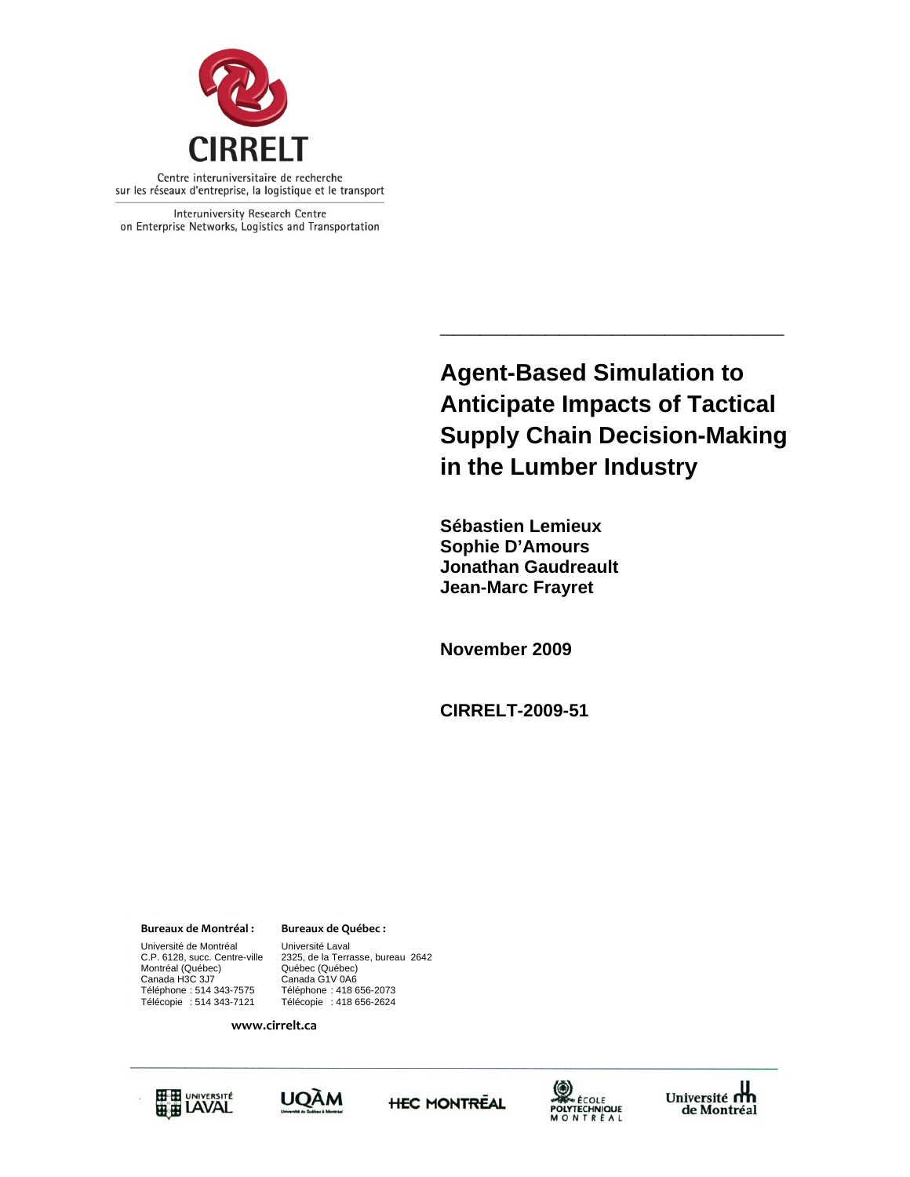

Interuniversity Research Centre on Enterprise Networks, Logistics and Transportation

> **Agent-Based Simulation to Anticipate Impacts of Tactical Supply Chain Decision-Making in the Lumber Industry**

> **\_\_\_\_\_\_\_\_\_\_\_\_\_\_\_\_\_\_\_\_\_\_\_\_\_\_**

**Sébastien Lemieux Sophie D'Amours Jonathan Gaudreault Jean-Marc Frayret** 

**November 2009** 

**CIRRELT-2009-51** 

**Bureaux de Montréal : Bureaux de Québec :**

Canada H3C 3J7 Canada G1V 0A6 Université de Montréal Université Laval<br>C.P. 6128, succ. Centre-ville 2325, de la Terra Montréal (Québec)<br>Canada H3C 3J7 Téléphone : 514 343-7575 Téléphone : 418 656-2073 Télécopie : 514 343-7121 Télécopie : 418 656-2624

2325, de la Terrasse, bureau 2642<br>Québec (Québec)

**www.cirrelt.ca**







Université **nn** de Montréal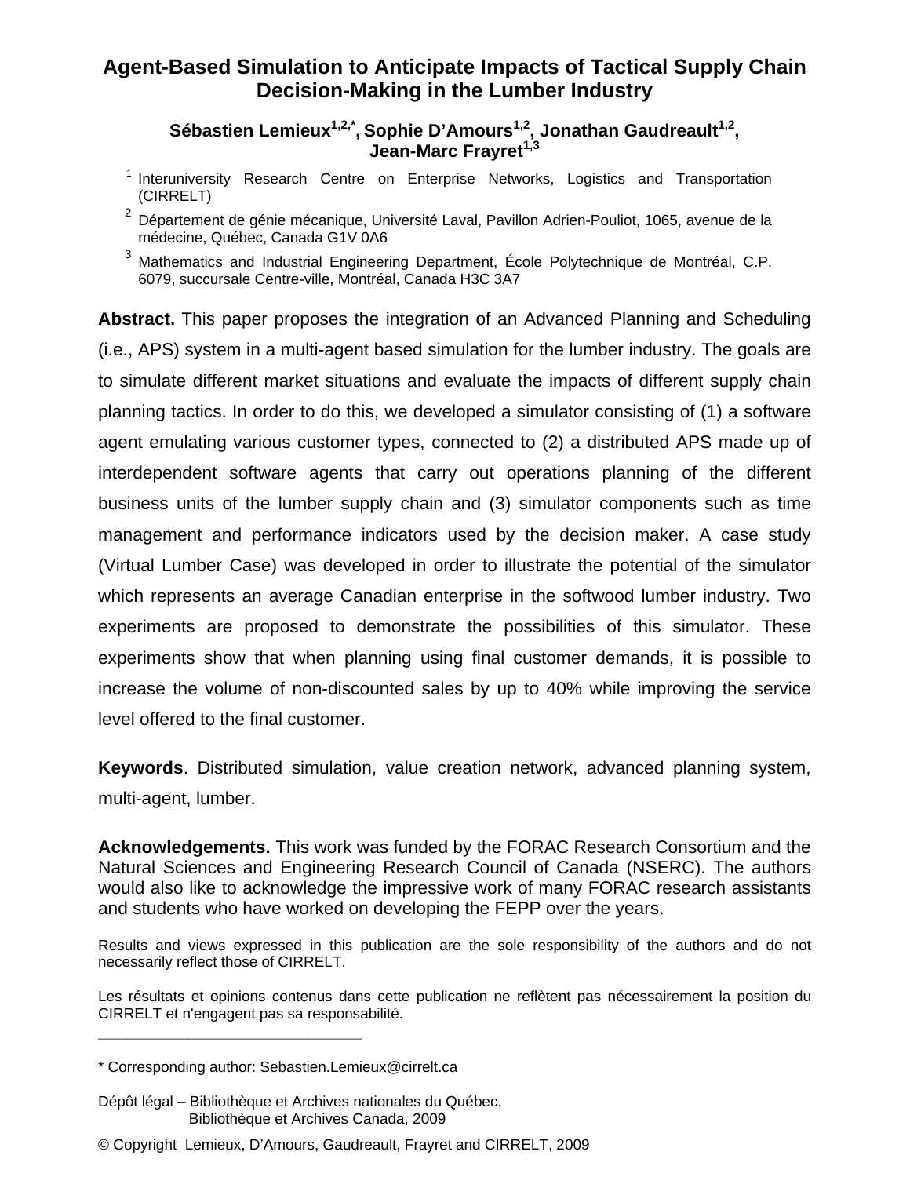## **Agent-Based Simulation to Anticipate Impacts of Tactical Supply Chain Decision-Making in the Lumber Industry**

Sébastien Lemieux<sup>1,2,\*</sup>, Sophie D'Amours<sup>1,2</sup>, Jonathan Gaudreault<sup>1,2</sup>, Jean-Marc Fravret<sup>1,3</sup>

<sup>1</sup> Interuniversity Research Centre on Enterprise Networks, Logistics and Transportation (CIRRELT)

**Abstract.** This paper proposes the integration of an Advanced Planning and Scheduling (i.e., APS) system in a multi-agent based simulation for the lumber industry. The goals are to simulate different market situations and evaluate the impacts of different supply chain planning tactics. In order to do this, we developed a simulator consisting of (1) a software agent emulating various customer types, connected to (2) a distributed APS made up of interdependent software agents that carry out operations planning of the different business units of the lumber supply chain and (3) simulator components such as time management and performance indicators used by the decision maker. A case study (Virtual Lumber Case) was developed in order to illustrate the potential of the simulator which represents an average Canadian enterprise in the softwood lumber industry. Two experiments are proposed to demonstrate the possibilities of this simulator. These experiments show that when planning using final customer demands, it is possible to increase the volume of non-discounted sales by up to 40% while improving the service level offered to the final customer.

**Keywords**. Distributed simulation, value creation network, advanced planning system, multi-agent, lumber.

**Acknowledgements.** This work was funded by the FORAC Research Consortium and the Natural Sciences and Engineering Research Council of Canada (NSERC). The authors would also like to acknowledge the impressive work of many FORAC research assistants and students who have worked on developing the FEPP over the years.

Results and views expressed in this publication are the sole responsibility of the authors and do not necessarily reflect those of CIRRELT.

Les résultats et opinions contenus dans cette publication ne reflètent pas nécessairement la position du CIRRELT et n'engagent pas sa responsabilité.

**\_\_\_\_\_\_\_\_\_\_\_\_\_\_\_\_\_\_\_\_\_\_\_\_\_\_\_\_\_**

© Copyright Lemieux, D'Amours, Gaudreault, Frayret and CIRRELT, 2009

<sup>&</sup>lt;sup>2</sup> Département de génie mécanique, Université Laval, Pavillon Adrien-Pouliot, 1065, avenue de la médecine, Québec, Canada G1V 0A6

<sup>3</sup> Mathematics and Industrial Engineering Department, École Polytechnique de Montréal, C.P. 6079, succursale Centre-ville, Montréal, Canada H3C 3A7

<sup>\*</sup> Corresponding author: Sebastien.Lemieux@cirrelt.ca

Dépôt légal – Bibliothèque et Archives nationales du Québec, Bibliothèque et Archives Canada, 2009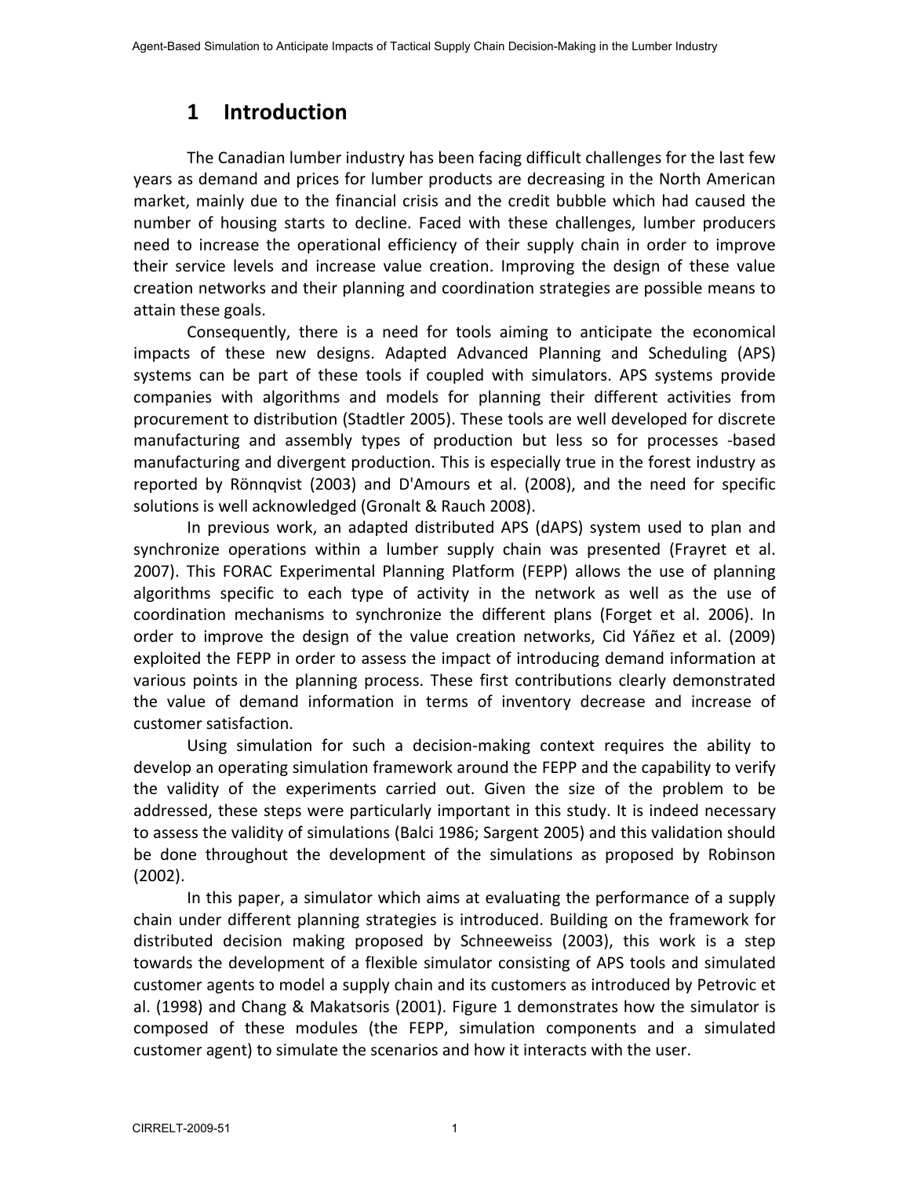# **1 Introduction**

The Canadian lumber industry has been facing difficult challenges for the last few years as demand and prices for lumber products are decreasing in the North American market, mainly due to the financial crisis and the credit bubble which had caused the number of housing starts to decline. Faced with these challenges, lumber producers need to increase the operational efficiency of their supply chain in order to improve their service levels and increase value creation. Improving the design of these value creation networks and their planning and coordination strategies are possible means to attain these goals.

Consequently, there is a need for tools aiming to anticipate the economical impacts of these new designs. Adapted Advanced Planning and Scheduling (APS) systems can be part of these tools if coupled with simulators. APS systems provide companies with algorithms and models for planning their different activities from procurement to distribution (Stadtler 2005). These tools are well developed for discrete manufacturing and assembly types of production but less so for processes ‐based manufacturing and divergent production. This is especially true in the forest industry as reported by Rönnqvist (2003) and D'Amours et al. (2008), and the need for specific solutions is well acknowledged (Gronalt & Rauch 2008).

In previous work, an adapted distributed APS (dAPS) system used to plan and synchronize operations within a lumber supply chain was presented (Frayret et al. 2007). This FORAC Experimental Planning Platform (FEPP) allows the use of planning algorithms specific to each type of activity in the network as well as the use of coordination mechanisms to synchronize the different plans (Forget et al. 2006). In order to improve the design of the value creation networks, Cid Yáñez et al. (2009) exploited the FEPP in order to assess the impact of introducing demand information at various points in the planning process. These first contributions clearly demonstrated the value of demand information in terms of inventory decrease and increase of customer satisfaction.

Using simulation for such a decision‐making context requires the ability to develop an operating simulation framework around the FEPP and the capability to verify the validity of the experiments carried out. Given the size of the problem to be addressed, these steps were particularly important in this study. It is indeed necessary to assess the validity of simulations (Balci 1986; Sargent 2005) and this validation should be done throughout the development of the simulations as proposed by Robinson (2002).

In this paper, a simulator which aims at evaluating the performance of a supply chain under different planning strategies is introduced. Building on the framework for distributed decision making proposed by Schneeweiss (2003), this work is a step towards the development of a flexible simulator consisting of APS tools and simulated customer agents to model a supply chain and its customers as introduced by Petrovic et al. (1998) and Chang & Makatsoris (2001). Figure 1 demonstrates how the simulator is composed of these modules (the FEPP, simulation components and a simulated customer agent) to simulate the scenarios and how it interacts with the user.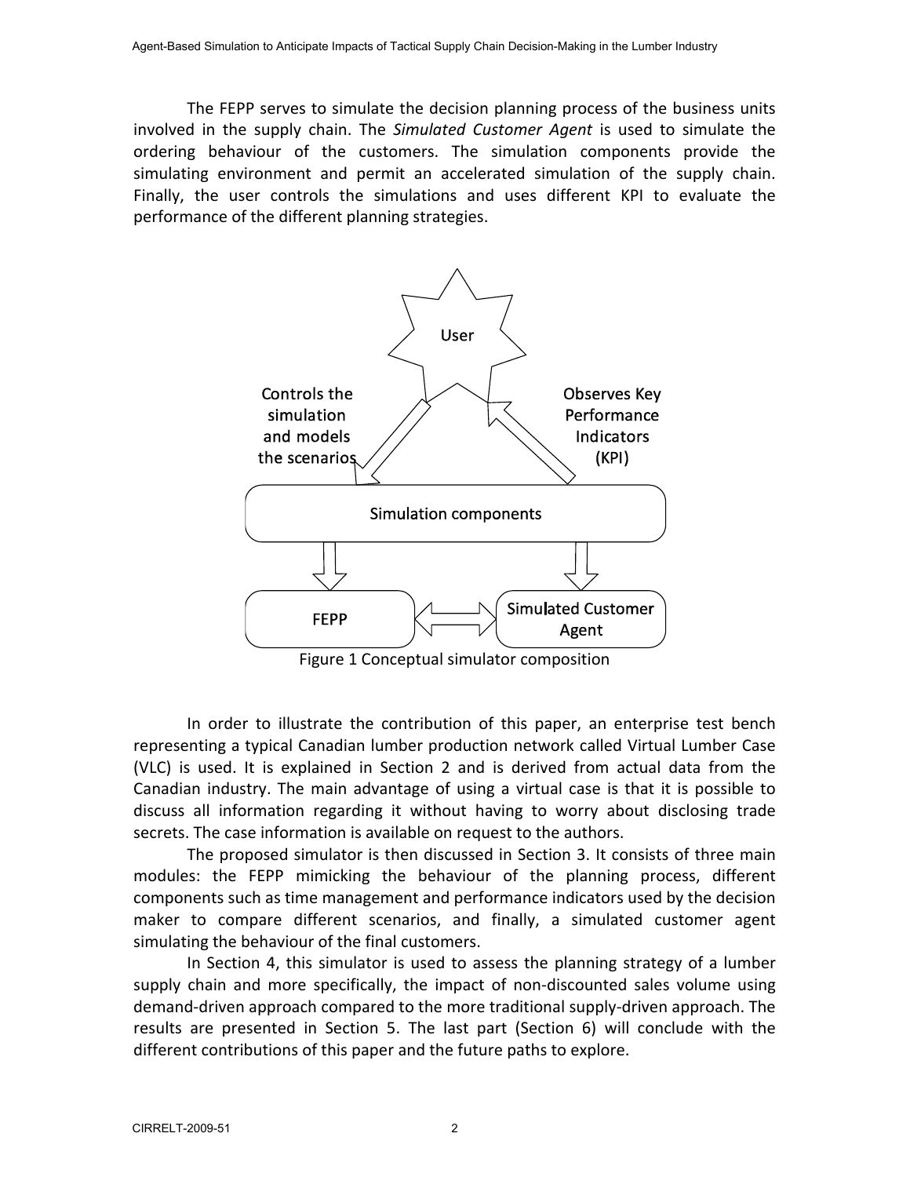The FEPP serves to simulate the decision planning process of the business units involved in the supply chain. The *Simulated Customer Agent* is used to simulate the ordering behaviour of the customers. The simulation components provide the simulating environment and permit an accelerated simulation of the supply chain. Finally, the user controls the simulations and uses different KPI to evaluate the performance of the different planning strategies.



Figure 1 Conceptual simulator composition

In order to illustrate the contribution of this paper, an enterprise test bench representing a typical Canadian lumber production network called Virtual Lumber Case (VLC) is used. It is explained in Section 2 and is derived from actual data from the Canadian industry. The main advantage of using a virtual case is that it is possible to discuss all information regarding it without having to worry about disclosing trade secrets. The case information is available on request to the authors.

The proposed simulator is then discussed in Section 3. It consists of three main modules: the FEPP mimicking the behaviour of the planning process, different components such as time management and performance indicators used by the decision maker to compare different scenarios, and finally, a simulated customer agent simulating the behaviour of the final customers.

In Section 4, this simulator is used to assess the planning strategy of a lumber supply chain and more specifically, the impact of non-discounted sales volume using demand‐driven approach compared to the more traditional supply‐driven approach. The results are presented in Section 5. The last part (Section 6) will conclude with the different contributions of this paper and the future paths to explore.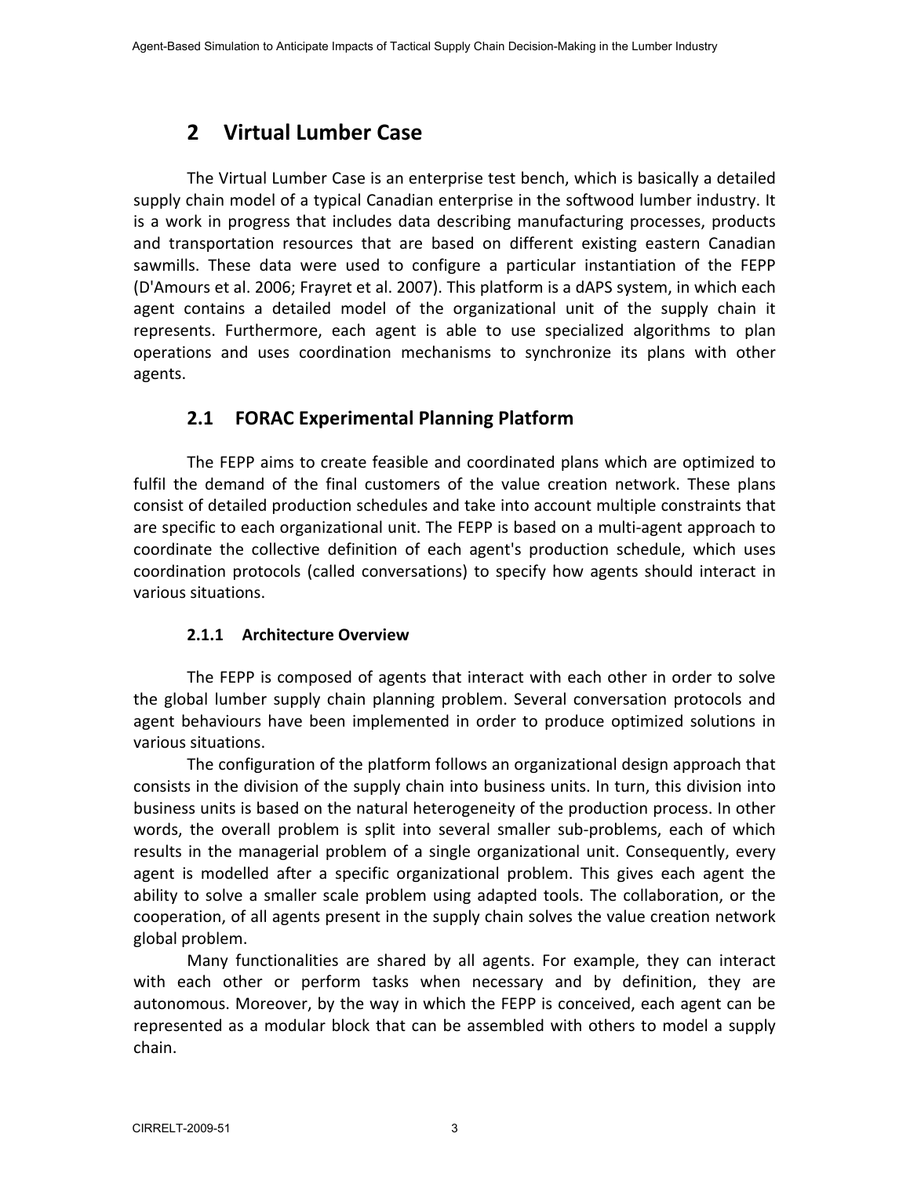# **2 Virtual Lumber Case**

The Virtual Lumber Case is an enterprise test bench, which is basically a detailed supply chain model of a typical Canadian enterprise in the softwood lumber industry. It is a work in progress that includes data describing manufacturing processes, products and transportation resources that are based on different existing eastern Canadian sawmills. These data were used to configure a particular instantiation of the FEPP (D'Amours et al. 2006; Frayret et al. 2007). This platform is a dAPS system, in which each agent contains a detailed model of the organizational unit of the supply chain it represents. Furthermore, each agent is able to use specialized algorithms to plan operations and uses coordination mechanisms to synchronize its plans with other agents.

## **2.1 FORAC Experimental Planning Platform**

The FEPP aims to create feasible and coordinated plans which are optimized to fulfil the demand of the final customers of the value creation network. These plans consist of detailed production schedules and take into account multiple constraints that are specific to each organizational unit. The FEPP is based on a multi‐agent approach to coordinate the collective definition of each agent's production schedule, which uses coordination protocols (called conversations) to specify how agents should interact in various situations.

#### **2.1.1 Architecture Overview**

The FEPP is composed of agents that interact with each other in order to solve the global lumber supply chain planning problem. Several conversation protocols and agent behaviours have been implemented in order to produce optimized solutions in various situations.

The configuration of the platform follows an organizational design approach that consists in the division of the supply chain into business units. In turn, this division into business units is based on the natural heterogeneity of the production process. In other words, the overall problem is split into several smaller sub‐problems, each of which results in the managerial problem of a single organizational unit. Consequently, every agent is modelled after a specific organizational problem. This gives each agent the ability to solve a smaller scale problem using adapted tools. The collaboration, or the cooperation, of all agents present in the supply chain solves the value creation network global problem.

Many functionalities are shared by all agents. For example, they can interact with each other or perform tasks when necessary and by definition, they are autonomous. Moreover, by the way in which the FEPP is conceived, each agent can be represented as a modular block that can be assembled with others to model a supply chain.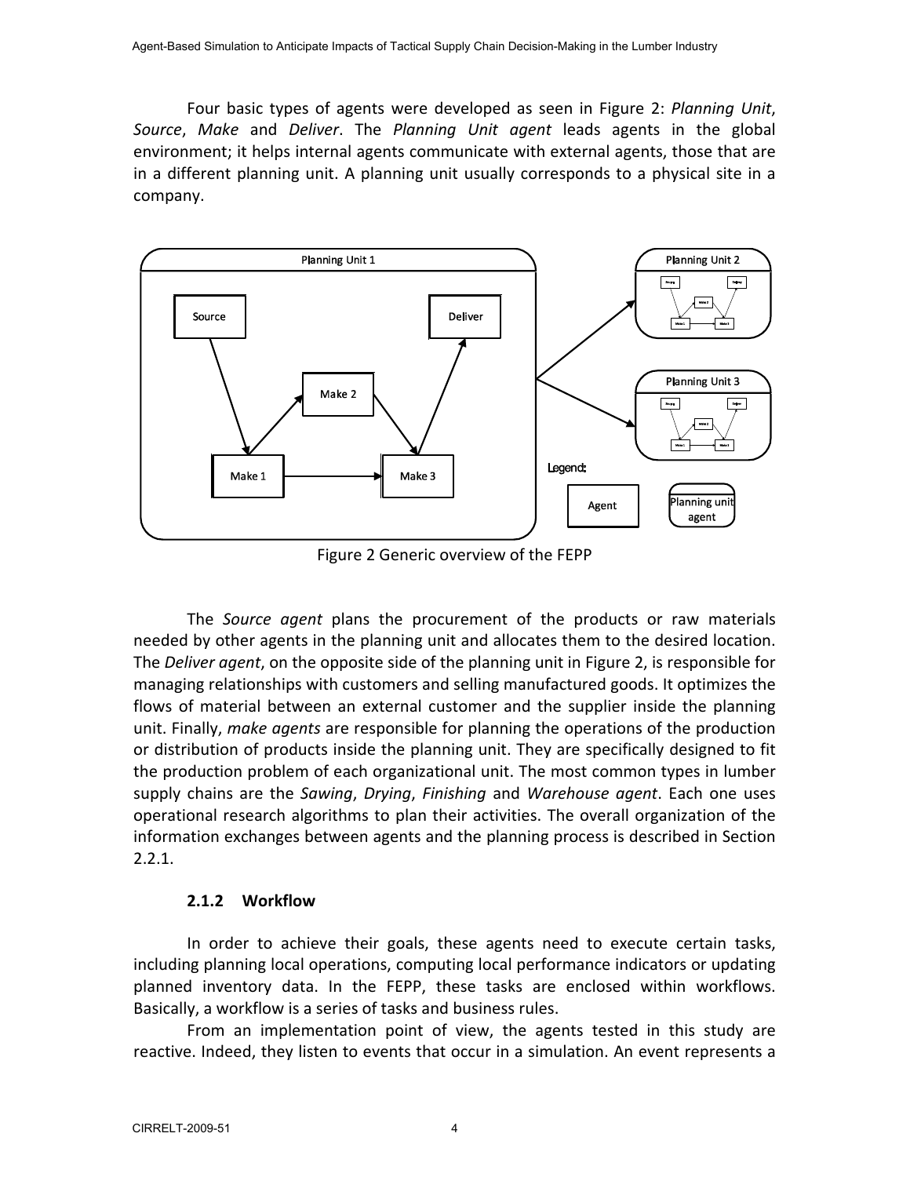Four basic types of agents were developed as seen in Figure 2: *Planning Unit*, *Source*, *Make* and *Deliver*. The *Planning Unit agent* leads agents in the global environment; it helps internal agents communicate with external agents, those that are in a different planning unit. A planning unit usually corresponds to a physical site in a company.



Figure 2 Generic overview of the FEPP

The *Source agent* plans the procurement of the products or raw materials needed by other agents in the planning unit and allocates them to the desired location. The *Deliver agent*, on the opposite side of the planning unit in Figure 2, is responsible for managing relationships with customers and selling manufactured goods. It optimizes the flows of material between an external customer and the supplier inside the planning unit. Finally, *make agents* are responsible for planning the operations of the production or distribution of products inside the planning unit. They are specifically designed to fit the production problem of each organizational unit. The most common types in lumber supply chains are the *Sawing*, *Drying*, *Finishing* and *Warehouse agent*. Each one uses operational research algorithms to plan their activities. The overall organization of the information exchanges between agents and the planning process is described in Section  $2.2.1.$ 

#### **2.1.2 Workflow**

In order to achieve their goals, these agents need to execute certain tasks, including planning local operations, computing local performance indicators or updating planned inventory data. In the FEPP, these tasks are enclosed within workflows. Basically, a workflow is a series of tasks and business rules.

From an implementation point of view, the agents tested in this study are reactive. Indeed, they listen to events that occur in a simulation. An event represents a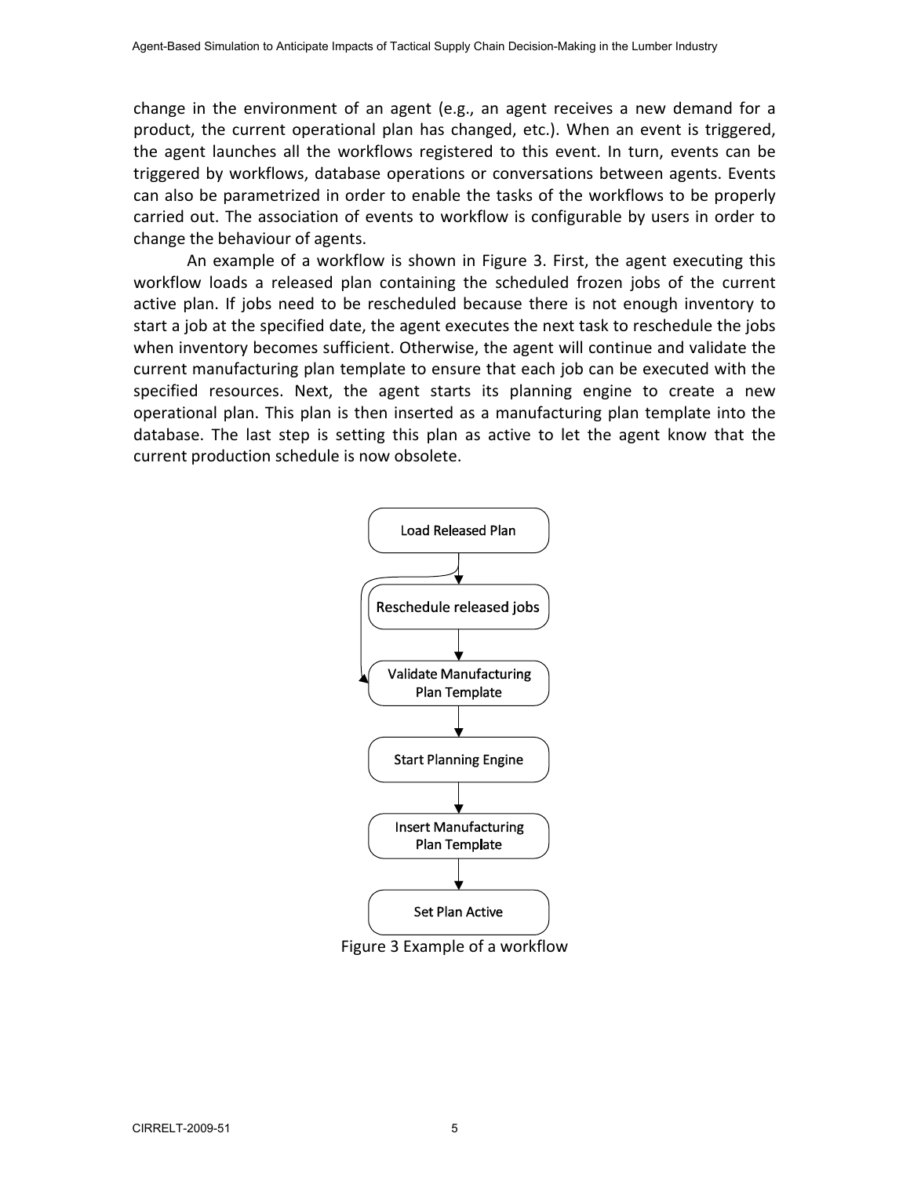change in the environment of an agent (e.g., an agent receives a new demand for a product, the current operational plan has changed, etc.). When an event is triggered, the agent launches all the workflows registered to this event. In turn, events can be triggered by workflows, database operations or conversations between agents. Events can also be parametrized in order to enable the tasks of the workflows to be properly carried out. The association of events to workflow is configurable by users in order to change the behaviour of agents.

An example of a workflow is shown in Figure 3. First, the agent executing this workflow loads a released plan containing the scheduled frozen jobs of the current active plan. If jobs need to be rescheduled because there is not enough inventory to start a job at the specified date, the agent executes the next task to reschedule the jobs when inventory becomes sufficient. Otherwise, the agent will continue and validate the current manufacturing plan template to ensure that each job can be executed with the specified resources. Next, the agent starts its planning engine to create a new operational plan. This plan is then inserted as a manufacturing plan template into the database. The last step is setting this plan as active to let the agent know that the current production schedule is now obsolete.



Figure 3 Example of a workflow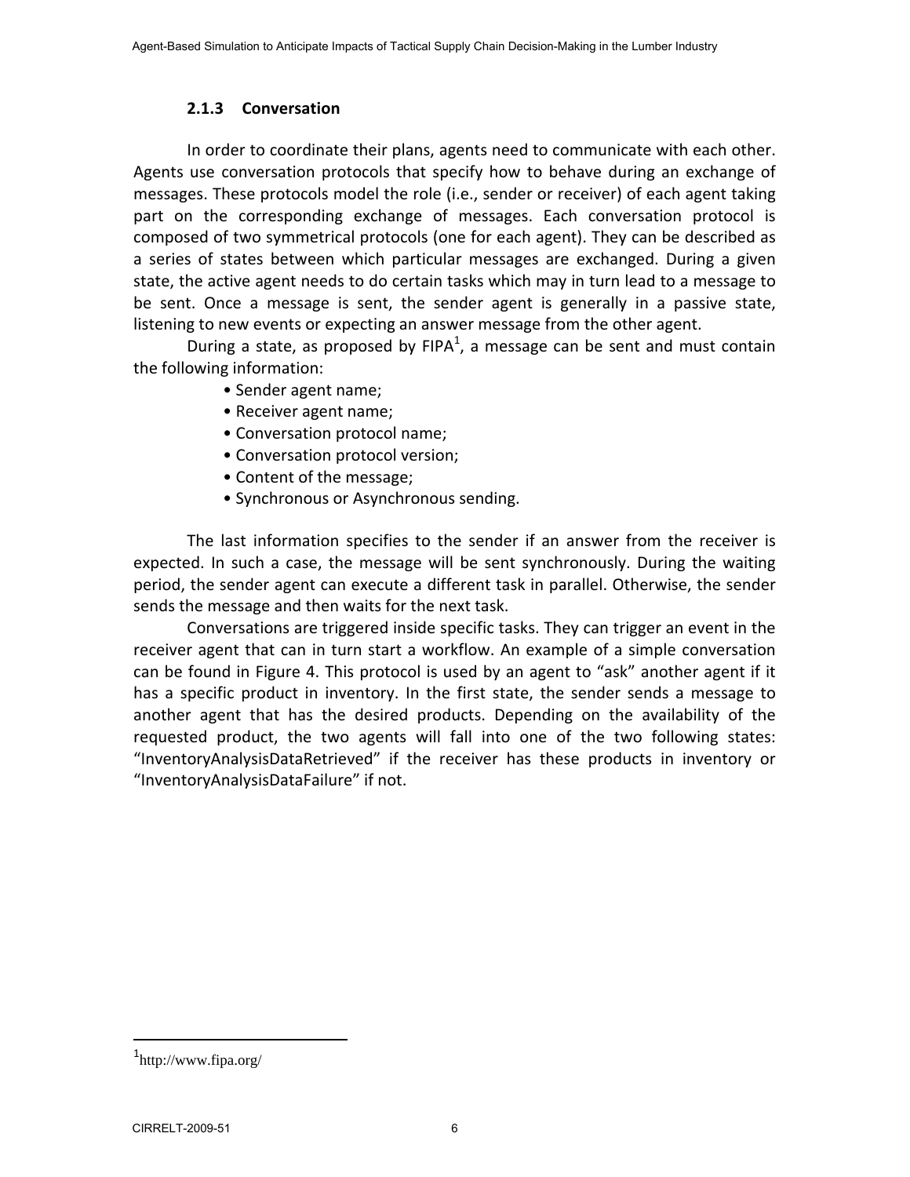#### **2.1.3 Conversation**

In order to coordinate their plans, agents need to communicate with each other. Agents use conversation protocols that specify how to behave during an exchange of messages. These protocols model the role (i.e., sender or receiver) of each agent taking part on the corresponding exchange of messages. Each conversation protocol is composed of two symmetrical protocols (one for each agent). They can be described as a series of states between which particular messages are exchanged. During a given state, the active agent needs to do certain tasks which may in turn lead to a message to be sent. Once a message is sent, the sender agent is generally in a passive state, listening to new events or expecting an answer message from the other agent.

During a state, as proposed by FIPA<sup>1</sup>, a message can be sent and must contain the following information:

- Sender agent name;
- Receiver agent name;
- Conversation protocol name;
- Conversation protocol version;
- Content of the message;
- Synchronous or Asynchronous sending.

The last information specifies to the sender if an answer from the receiver is expected. In such a case, the message will be sent synchronously. During the waiting period, the sender agent can execute a different task in parallel. Otherwise, the sender sends the message and then waits for the next task.

Conversations are triggered inside specific tasks. They can trigger an event in the receiver agent that can in turn start a workflow. An example of a simple conversation can be found in Figure 4. This protocol is used by an agent to "ask" another agent if it has a specific product in inventory. In the first state, the sender sends a message to another agent that has the desired products. Depending on the availability of the requested product, the two agents will fall into one of the two following states: "InventoryAnalysisDataRetrieved" if the receiver has these products in inventory or "InventoryAnalysisDataFailure" if not.

<sup>1</sup> http://www.fipa.org/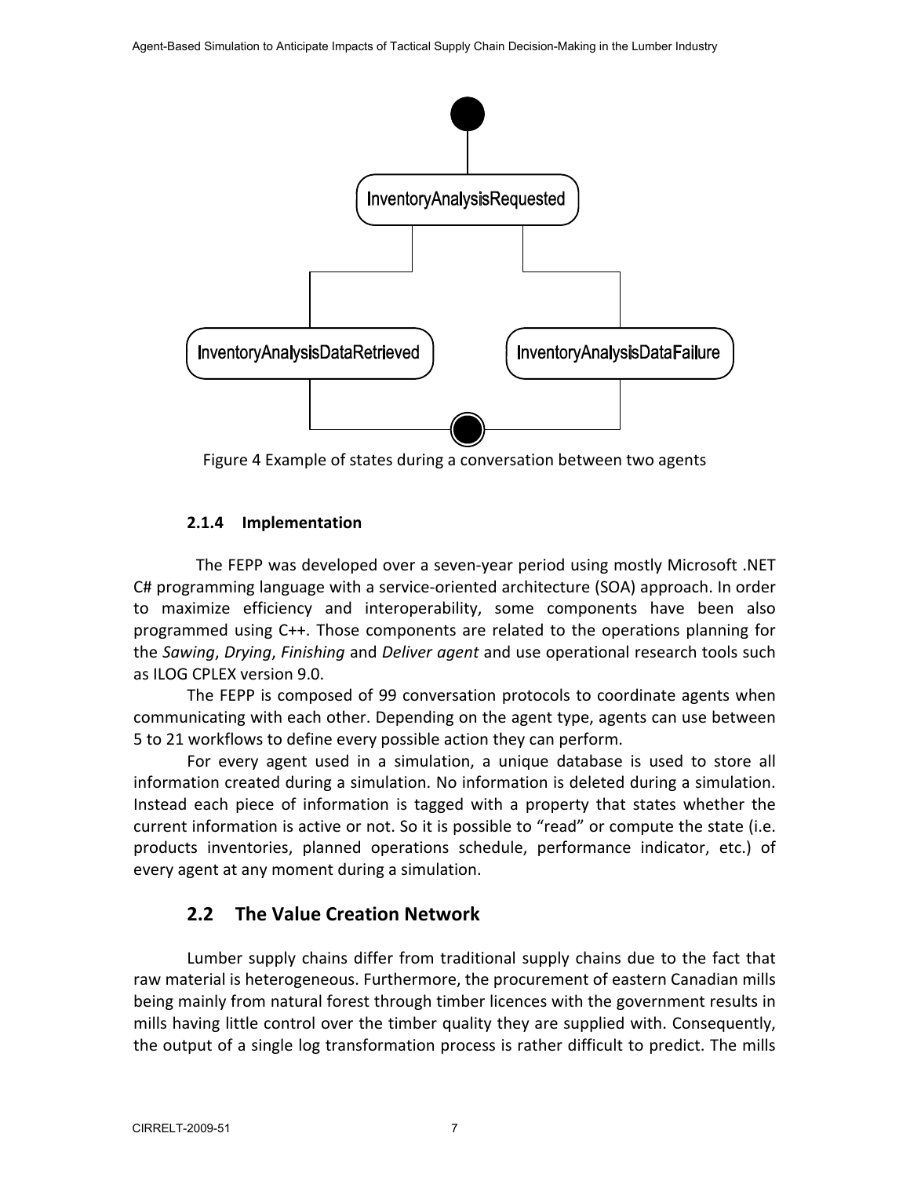Agent-Based Simulation to Anticipate Impacts of Tactical Supply Chain Decision-Making in the Lumber Industry



Figure <sup>4</sup> Example of states during <sup>a</sup> conversation between two agents

#### **2.1.4 Implementation**

The FEPP was developed over a seven‐year period using mostly Microsoft .NET C# programming language with a service‐oriented architecture (SOA) approach. In order to maximize efficiency and interoperability, some components have been also programmed using C++. Those components are related to the operations planning for the *Sawing*, *Drying*, *Finishing* and *Deliver agent* and use operational research tools such as ILOG CPLEX version 9.0.

The FEPP is composed of 99 conversation protocols to coordinate agents when communicating with each other. Depending on the agent type, agents can use between 5 to 21 workflows to define every possible action they can perform.

For every agent used in a simulation, a unique database is used to store all information created during a simulation. No information is deleted during a simulation. Instead each piece of information is tagged with a property that states whether the current information is active or not. So it is possible to "read" or compute the state (i.e. products inventories, planned operations schedule, performance indicator, etc.) of every agent at any moment during a simulation.

### **2.2 The Value Creation Network**

Lumber supply chains differ from traditional supply chains due to the fact that raw material is heterogeneous. Furthermore, the procurement of eastern Canadian mills being mainly from natural forest through timber licences with the government results in mills having little control over the timber quality they are supplied with. Consequently, the output of a single log transformation process is rather difficult to predict. The mills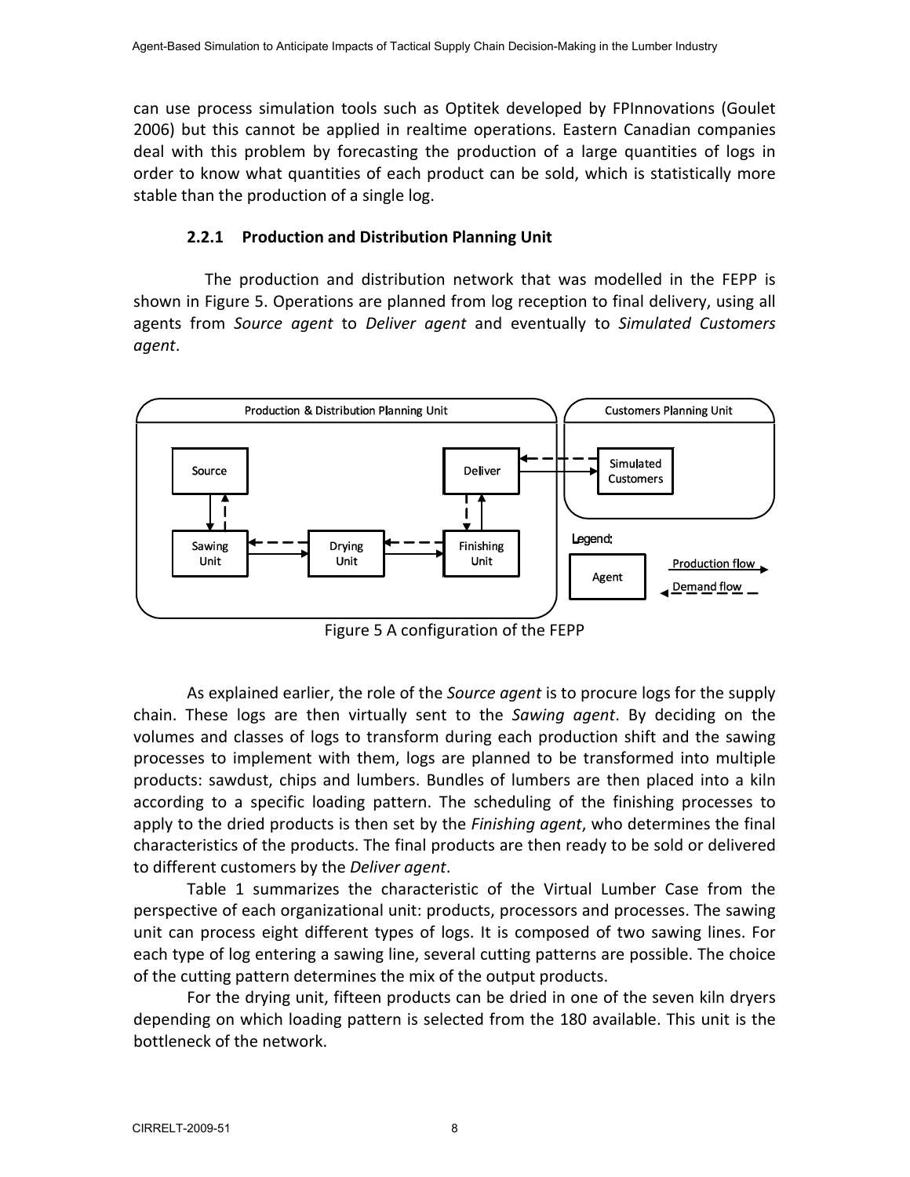can use process simulation tools such as Optitek developed by FPInnovations (Goulet 2006) but this cannot be applied in realtime operations. Eastern Canadian companies deal with this problem by forecasting the production of a large quantities of logs in order to know what quantities of each product can be sold, which is statistically more stable than the production of a single log.

#### **2.2.1 Production and Distribution Planning Unit**

 The production and distribution network that was modelled in the FEPP is shown in Figure 5. Operations are planned from log reception to final delivery, using all agents from *Source agent* to *Deliver agent* and eventually to *Simulated Customers agent*.



Figure 5 A configuration of the FEPP

As explained earlier, the role of the *Source agent* is to procure logs for the supply chain. These logs are then virtually sent to the *Sawing agent*. By deciding on the volumes and classes of logs to transform during each production shift and the sawing processes to implement with them, logs are planned to be transformed into multiple products: sawdust, chips and lumbers. Bundles of lumbers are then placed into a kiln according to a specific loading pattern. The scheduling of the finishing processes to apply to the dried products is then set by the *Finishing agent*, who determines the final characteristics of the products. The final products are then ready to be sold or delivered to different customers by the *Deliver agent*.

Table 1 summarizes the characteristic of the Virtual Lumber Case from the perspective of each organizational unit: products, processors and processes. The sawing unit can process eight different types of logs. It is composed of two sawing lines. For each type of log entering a sawing line, several cutting patterns are possible. The choice of the cutting pattern determines the mix of the output products.

For the drying unit, fifteen products can be dried in one of the seven kiln dryers depending on which loading pattern is selected from the 180 available. This unit is the bottleneck of the network.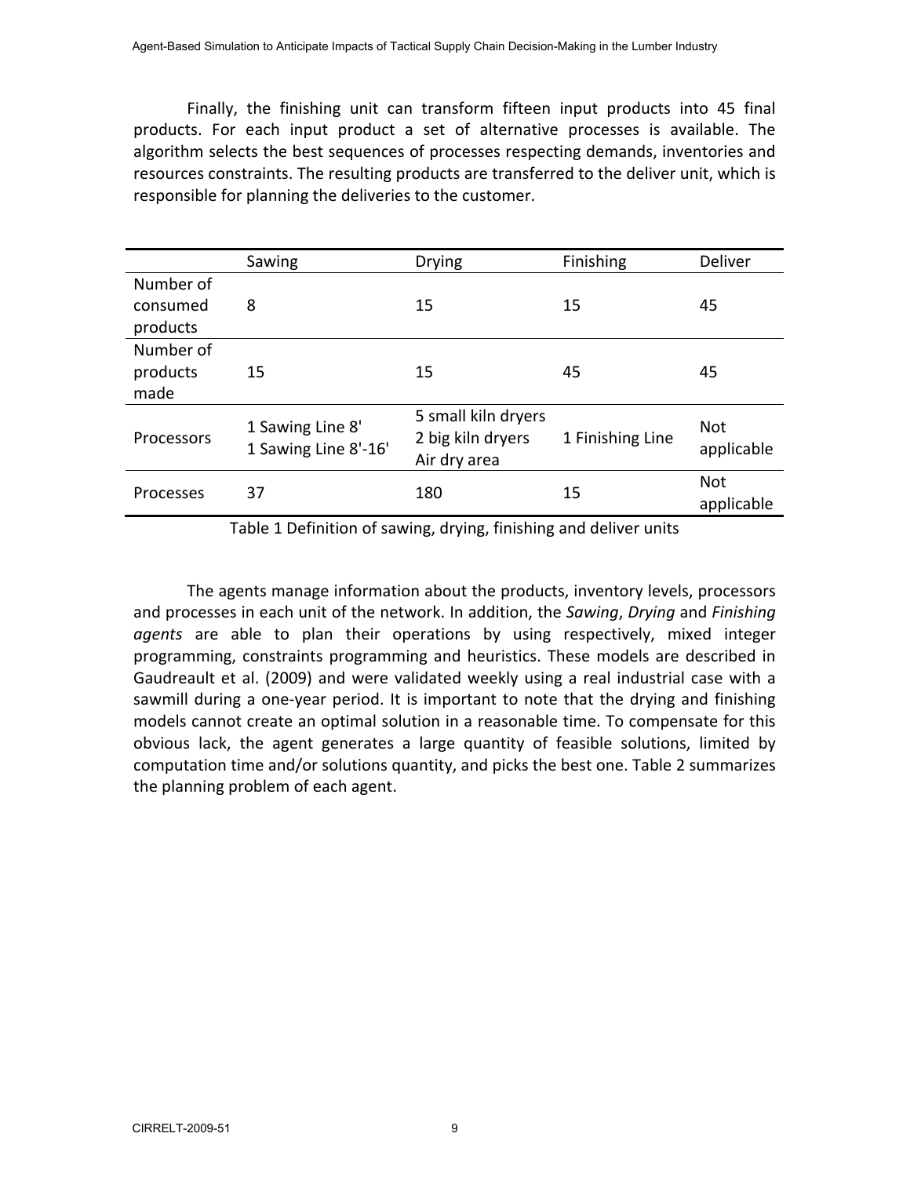Finally, the finishing unit can transform fifteen input products into 45 final products. For each input product a set of alternative processes is available. The algorithm selects the best sequences of processes respecting demands, inventories and resources constraints. The resulting products are transferred to the deliver unit, which is responsible for planning the deliveries to the customer.

|                                   | Sawing                                   | <b>Drying</b>                                            | Finishing        | Deliver                  |
|-----------------------------------|------------------------------------------|----------------------------------------------------------|------------------|--------------------------|
| Number of<br>consumed<br>products | 8                                        | 15                                                       | 15               | 45                       |
| Number of<br>products<br>made     | 15                                       | 15                                                       | 45               | 45                       |
| Processors                        | 1 Sawing Line 8'<br>1 Sawing Line 8'-16' | 5 small kiln dryers<br>2 big kiln dryers<br>Air dry area | 1 Finishing Line | <b>Not</b><br>applicable |
| Processes                         | 37                                       | 180                                                      | 15               | <b>Not</b><br>applicable |

Table 1 Definition of sawing, drying, finishing and deliver units

The agents manage information about the products, inventory levels, processors and processes in each unit of the network. In addition, the *Sawing*, *Drying* and *Finishing agents* are able to plan their operations by using respectively, mixed integer programming, constraints programming and heuristics. These models are described in Gaudreault et al. (2009) and were validated weekly using a real industrial case with a sawmill during a one-year period. It is important to note that the drying and finishing models cannot create an optimal solution in a reasonable time. To compensate for this obvious lack, the agent generates a large quantity of feasible solutions, limited by computation time and/or solutions quantity, and picks the best one. Table 2 summarizes the planning problem of each agent.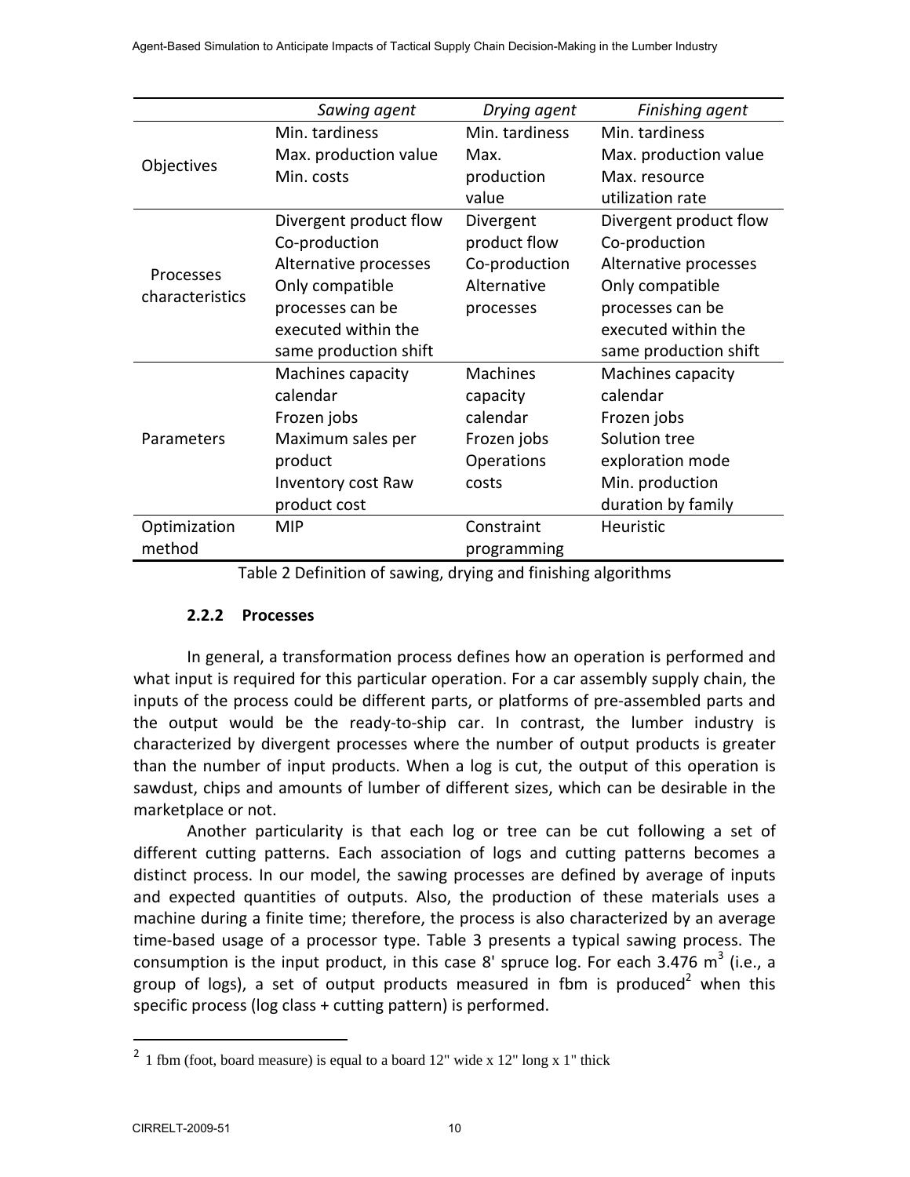|                              | Sawing agent           | Drying agent    | Finishing agent        |
|------------------------------|------------------------|-----------------|------------------------|
|                              | Min. tardiness         | Min. tardiness  | Min. tardiness         |
|                              | Max. production value  | Max.            | Max. production value  |
| Objectives                   | Min. costs             | production      | Max. resource          |
|                              |                        | value           | utilization rate       |
|                              | Divergent product flow | Divergent       | Divergent product flow |
|                              | Co-production          | product flow    | Co-production          |
|                              | Alternative processes  | Co-production   | Alternative processes  |
| Processes<br>characteristics | Only compatible        | Alternative     | Only compatible        |
|                              | processes can be       | processes       | processes can be       |
|                              | executed within the    |                 | executed within the    |
|                              | same production shift  |                 | same production shift  |
|                              | Machines capacity      | <b>Machines</b> | Machines capacity      |
|                              | calendar               | capacity        | calendar               |
|                              | Frozen jobs            | calendar        | Frozen jobs            |
| Parameters                   | Maximum sales per      | Frozen jobs     | Solution tree          |
|                              | product                | Operations      | exploration mode       |
|                              | Inventory cost Raw     | costs           | Min. production        |
|                              | product cost           |                 | duration by family     |
| Optimization                 | <b>MIP</b>             | Constraint      | Heuristic              |
| method                       |                        | programming     |                        |
|                              |                        |                 |                        |

Table 2 Definition of sawing, drying and finishing algorithms

#### **2.2.2 Processes**

In general, a transformation process defines how an operation is performed and what input is required for this particular operation. For a car assembly supply chain, the inputs of the process could be different parts, or platforms of pre‐assembled parts and the output would be the ready‐to‐ship car. In contrast, the lumber industry is characterized by divergent processes where the number of output products is greater than the number of input products. When a log is cut, the output of this operation is sawdust, chips and amounts of lumber of different sizes, which can be desirable in the marketplace or not.

Another particularity is that each log or tree can be cut following a set of different cutting patterns. Each association of logs and cutting patterns becomes a distinct process. In our model, the sawing processes are defined by average of inputs and expected quantities of outputs. Also, the production of these materials uses a machine during a finite time; therefore, the process is also characterized by an average time‐based usage of a processor type. Table 3 presents a typical sawing process. The consumption is the input product, in this case 8' spruce log. For each 3.476  $m^3$  (i.e., a group of logs), a set of output products measured in fbm is produced<sup>2</sup> when this specific process (log class + cutting pattern) is performed.

<sup>&</sup>lt;sup>2</sup> 1 fbm (foot, board measure) is equal to a board 12" wide x 12" long x 1" thick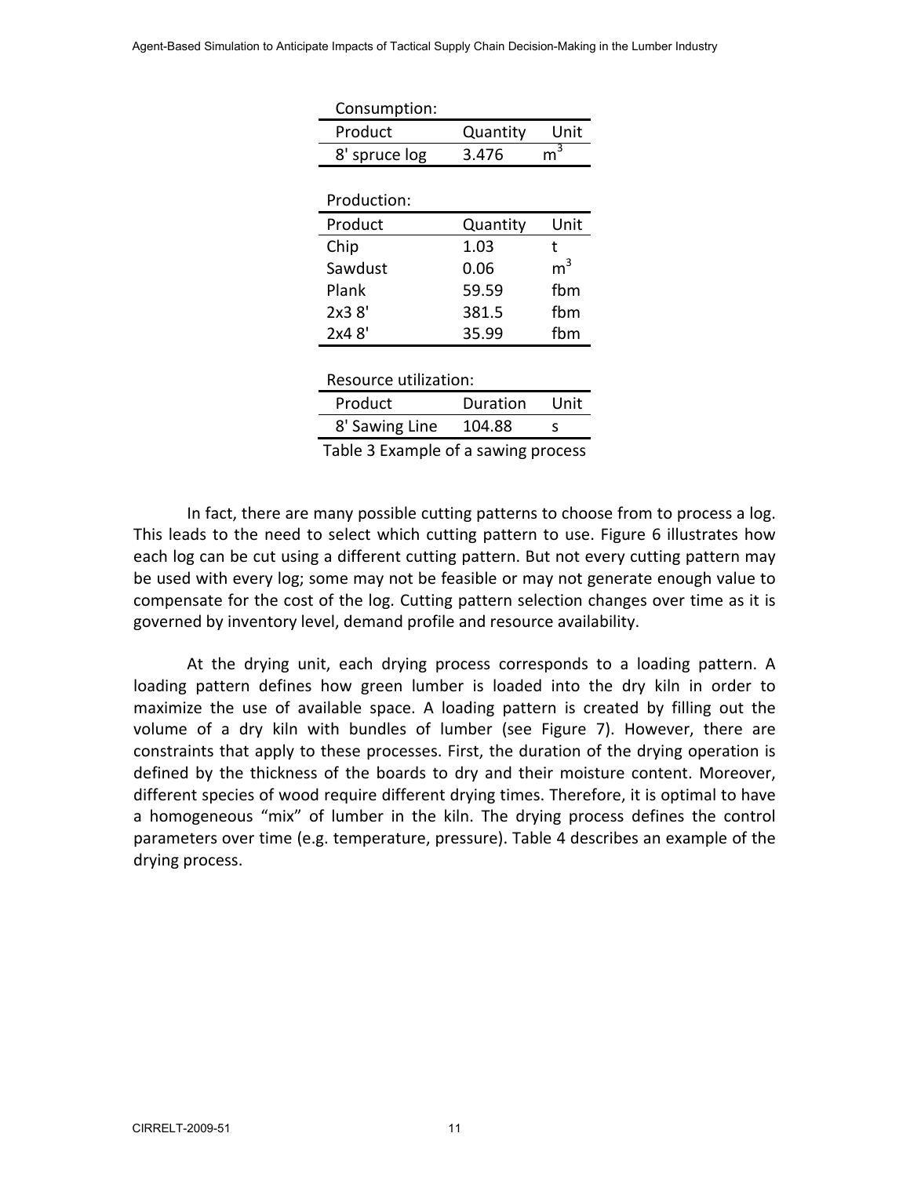| Consumption:          |          |                |
|-----------------------|----------|----------------|
| Product               | Quantity | Unit           |
| 8' spruce log         | 3.476    | 3              |
|                       |          |                |
| Production:           |          |                |
| Product               | Quantity | Unit           |
| Chip                  | 1.03     | t              |
| Sawdust               | 0.06     | $\mathsf{m}^3$ |
| Plank                 | 59.59    | fhm            |
| 2x3.8'                | 381.5    | fbm            |
| 2x48'                 | 35.99    | fbm            |
|                       |          |                |
| Resource utilization: |          |                |

| Product        | Duration | Unit |
|----------------|----------|------|
| 8' Sawing Line | 104.88   |      |
|                |          |      |

Table 3 Example of a sawing process

In fact, there are many possible cutting patterns to choose from to process a log. This leads to the need to select which cutting pattern to use. Figure 6 illustrates how each log can be cut using a different cutting pattern. But not every cutting pattern may be used with every log; some may not be feasible or may not generate enough value to compensate for the cost of the log. Cutting pattern selection changes over time as it is governed by inventory level, demand profile and resource availability.

At the drying unit, each drying process corresponds to a loading pattern. A loading pattern defines how green lumber is loaded into the dry kiln in order to maximize the use of available space. A loading pattern is created by filling out the volume of a dry kiln with bundles of lumber (see Figure 7). However, there are constraints that apply to these processes. First, the duration of the drying operation is defined by the thickness of the boards to dry and their moisture content. Moreover, different species of wood require different drying times. Therefore, it is optimal to have a homogeneous "mix" of lumber in the kiln. The drying process defines the control parameters over time (e.g. temperature, pressure). Table 4 describes an example of the drying process.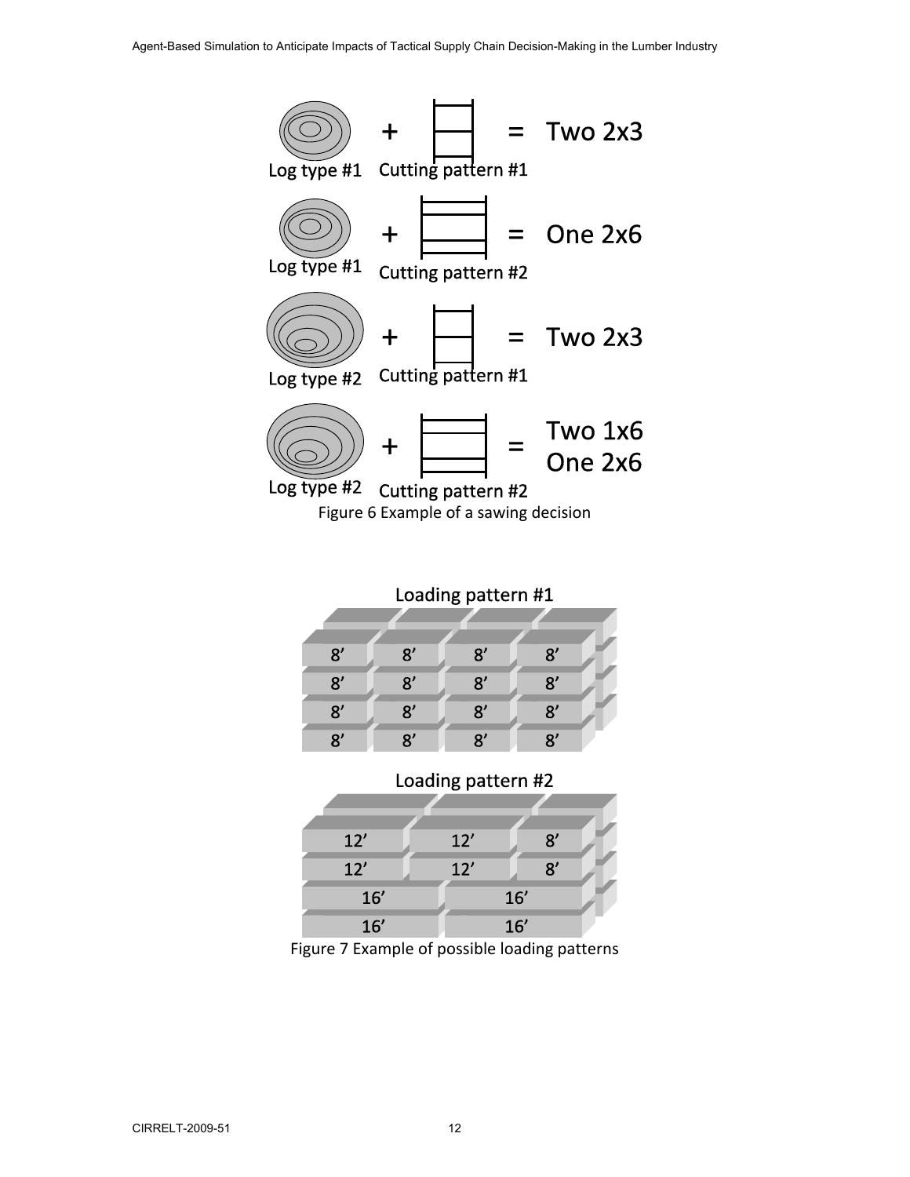

| Loading pattern #1 |    |               |    |  |
|--------------------|----|---------------|----|--|
|                    |    |               |    |  |
|                    |    |               |    |  |
| 8'                 | 8' | 8'            | 8' |  |
| 8'                 | 8' | $\mathbf{8}'$ | 8' |  |
| $\mathbf{8}'$      | 8' | 8'            | 8' |  |
|                    |    |               |    |  |

## Loading pattern #2

| 12' | 12' | 8'  |  |
|-----|-----|-----|--|
| 12' | 12' | 8'  |  |
| 16' |     | 16' |  |
| 16' |     | 16' |  |

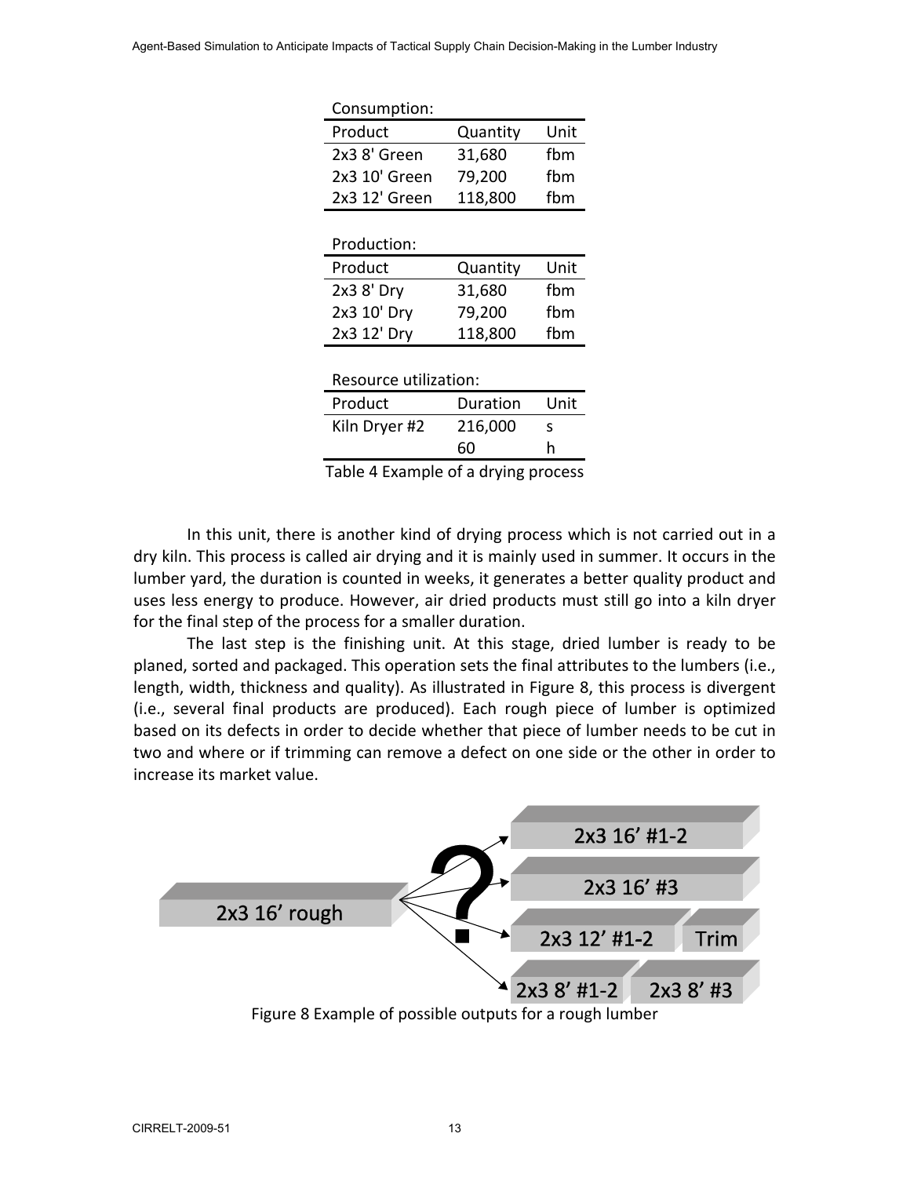| Consumption:          |                                         |      |
|-----------------------|-----------------------------------------|------|
| Product               | Quantity                                | Unit |
| 2x3 8' Green          | 31,680                                  | fbm  |
| 2x3 10' Green         | 79,200                                  | fbm  |
| 2x3 12' Green         | 118,800                                 | fbm  |
|                       |                                         |      |
| Production:           |                                         |      |
| Product               | Quantity                                | Unit |
| 2x3 8' Dry            | 31,680                                  | fbm  |
| 2x3 10' Dry           | 79,200                                  | fbm  |
| 2x3 12' Dry           | 118,800                                 | fbm  |
|                       |                                         |      |
| Resource utilization: |                                         |      |
| Product               | Duration                                | Unit |
| Kiln Dryer #2         | 216,000                                 | S    |
|                       | 60                                      | h    |
| -                     | and the state of the state of the<br>c. |      |

Table 4 Example of a drying process

In this unit, there is another kind of drying process which is not carried out in a dry kiln. This process is called air drying and it is mainly used in summer. It occurs in the lumber yard, the duration is counted in weeks, it generates a better quality product and uses less energy to produce. However, air dried products must still go into a kiln dryer for the final step of the process for a smaller duration.

The last step is the finishing unit. At this stage, dried lumber is ready to be planed, sorted and packaged. This operation sets the final attributes to the lumbers (i.e., length, width, thickness and quality). As illustrated in Figure 8, this process is divergent (i.e., several final products are produced). Each rough piece of lumber is optimized based on its defects in order to decide whether that piece of lumber needs to be cut in two and where or if trimming can remove a defect on one side or the other in order to increase its market value.

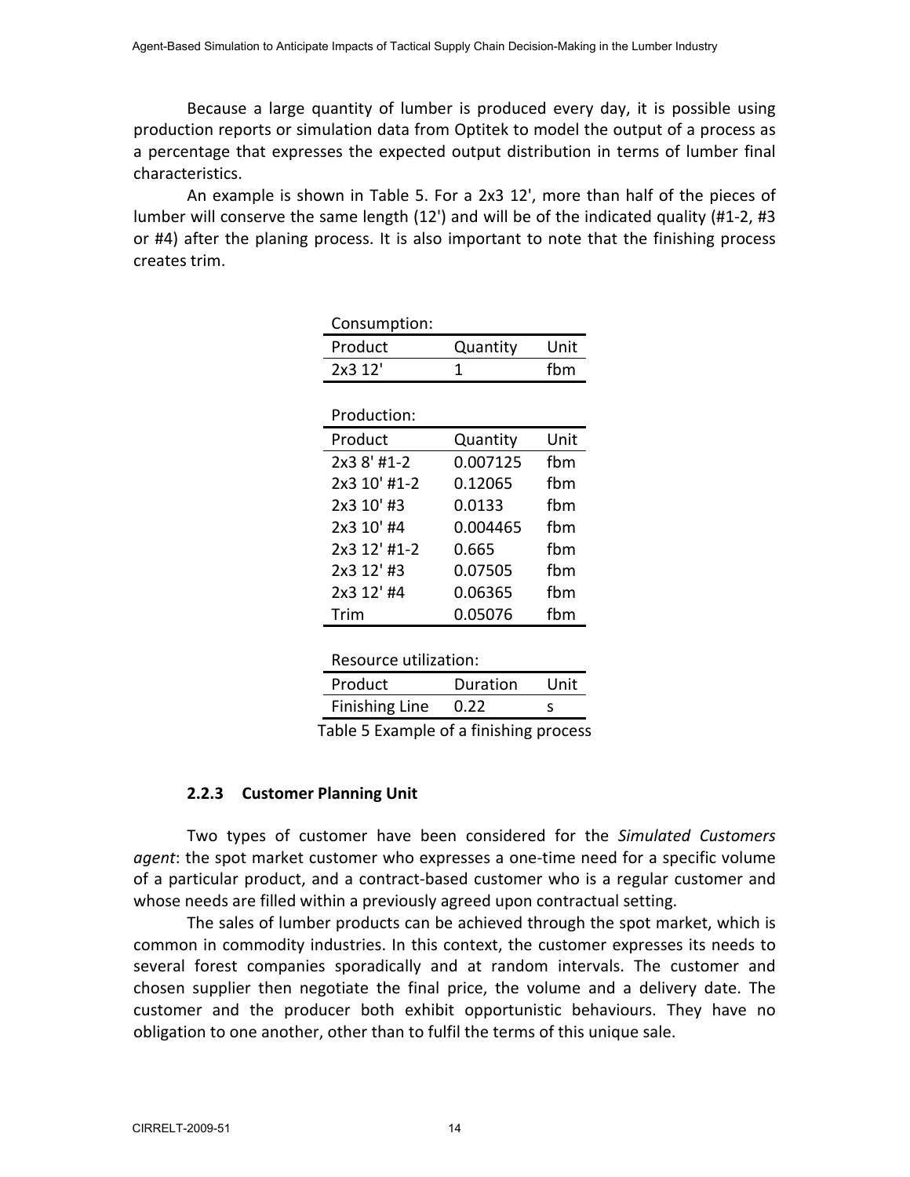Because a large quantity of lumber is produced every day, it is possible using production reports or simulation data from Optitek to model the output of a process as a percentage that expresses the expected output distribution in terms of lumber final characteristics.

An example is shown in Table 5. For a 2x3 12', more than half of the pieces of lumber will conserve the same length (12') and will be of the indicated quality (#1‐2, #3 or #4) after the planing process. It is also important to note that the finishing process creates trim.

| Consumption:                   |          |      |
|--------------------------------|----------|------|
| Product                        | Quantity | Unit |
| 2x3 12'                        | 1        | fbm  |
|                                |          |      |
| Production:                    |          |      |
| Product                        | Quantity | Unit |
| 2x3 8' #1-2                    | 0.007125 | fbm  |
| 2x3 10' #1-2                   | 0.12065  | fbm  |
| 2x3 10' #3                     | 0.0133   | fbm  |
| 2x3 10' #4                     | 0.004465 | fbm  |
| 2x3 12' #1-2                   | 0.665    | fbm  |
| 2x3 12' #3                     | 0.07505  | fbm  |
| 2x3 12' #4                     | 0.06365  | fbm  |
| Trim                           | 0.05076  | fbm  |
|                                |          |      |
| Resource utilization:          |          |      |
| Product                        | Duration | Unit |
| <b>Finishing Line</b>          | 0.22     | S    |
| Teble E Evansels of a finishin |          |      |

Table 5 Example of a finishing process

#### **2.2.3 Customer Planning Unit**

Two types of customer have been considered for the *Simulated Customers agent*: the spot market customer who expresses a one-time need for a specific volume of a particular product, and a contract‐based customer who is a regular customer and whose needs are filled within a previously agreed upon contractual setting.

The sales of lumber products can be achieved through the spot market, which is common in commodity industries. In this context, the customer expresses its needs to several forest companies sporadically and at random intervals. The customer and chosen supplier then negotiate the final price, the volume and a delivery date. The customer and the producer both exhibit opportunistic behaviours. They have no obligation to one another, other than to fulfil the terms of this unique sale.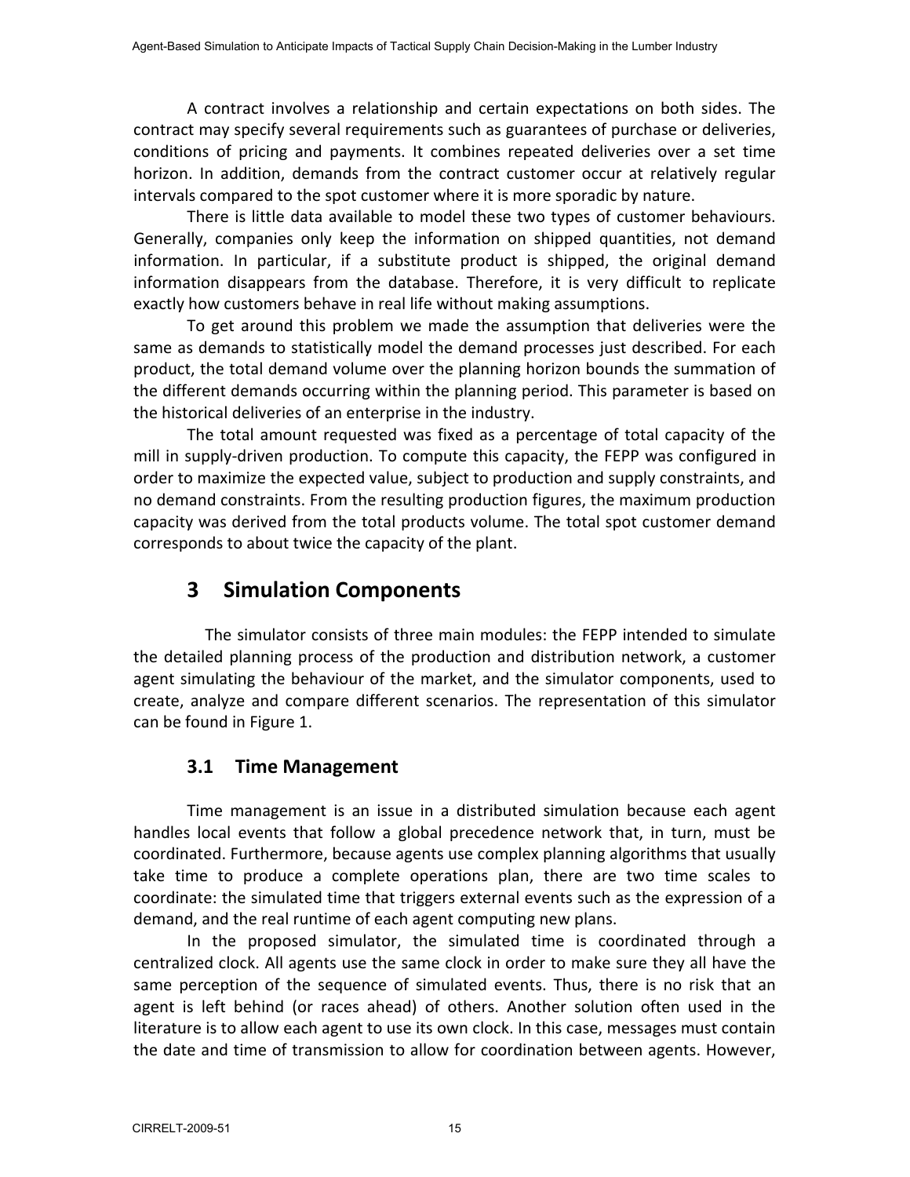A contract involves a relationship and certain expectations on both sides. The contract may specify several requirements such as guarantees of purchase or deliveries, conditions of pricing and payments. It combines repeated deliveries over a set time horizon. In addition, demands from the contract customer occur at relatively regular intervals compared to the spot customer where it is more sporadic by nature.

There is little data available to model these two types of customer behaviours. Generally, companies only keep the information on shipped quantities, not demand information. In particular, if a substitute product is shipped, the original demand information disappears from the database. Therefore, it is very difficult to replicate exactly how customers behave in real life without making assumptions.

To get around this problem we made the assumption that deliveries were the same as demands to statistically model the demand processes just described. For each product, the total demand volume over the planning horizon bounds the summation of the different demands occurring within the planning period. This parameter is based on the historical deliveries of an enterprise in the industry.

The total amount requested was fixed as a percentage of total capacity of the mill in supply‐driven production. To compute this capacity, the FEPP was configured in order to maximize the expected value, subject to production and supply constraints, and no demand constraints. From the resulting production figures, the maximum production capacity was derived from the total products volume. The total spot customer demand corresponds to about twice the capacity of the plant.

# **3 Simulation Components**

 The simulator consists of three main modules: the FEPP intended to simulate the detailed planning process of the production and distribution network, a customer agent simulating the behaviour of the market, and the simulator components, used to create, analyze and compare different scenarios. The representation of this simulator can be found in Figure 1.

### **3.1 Time Management**

Time management is an issue in a distributed simulation because each agent handles local events that follow a global precedence network that, in turn, must be coordinated. Furthermore, because agents use complex planning algorithms that usually take time to produce a complete operations plan, there are two time scales to coordinate: the simulated time that triggers external events such as the expression of a demand, and the real runtime of each agent computing new plans.

In the proposed simulator, the simulated time is coordinated through a centralized clock. All agents use the same clock in order to make sure they all have the same perception of the sequence of simulated events. Thus, there is no risk that an agent is left behind (or races ahead) of others. Another solution often used in the literature is to allow each agent to use its own clock. In this case, messages must contain the date and time of transmission to allow for coordination between agents. However,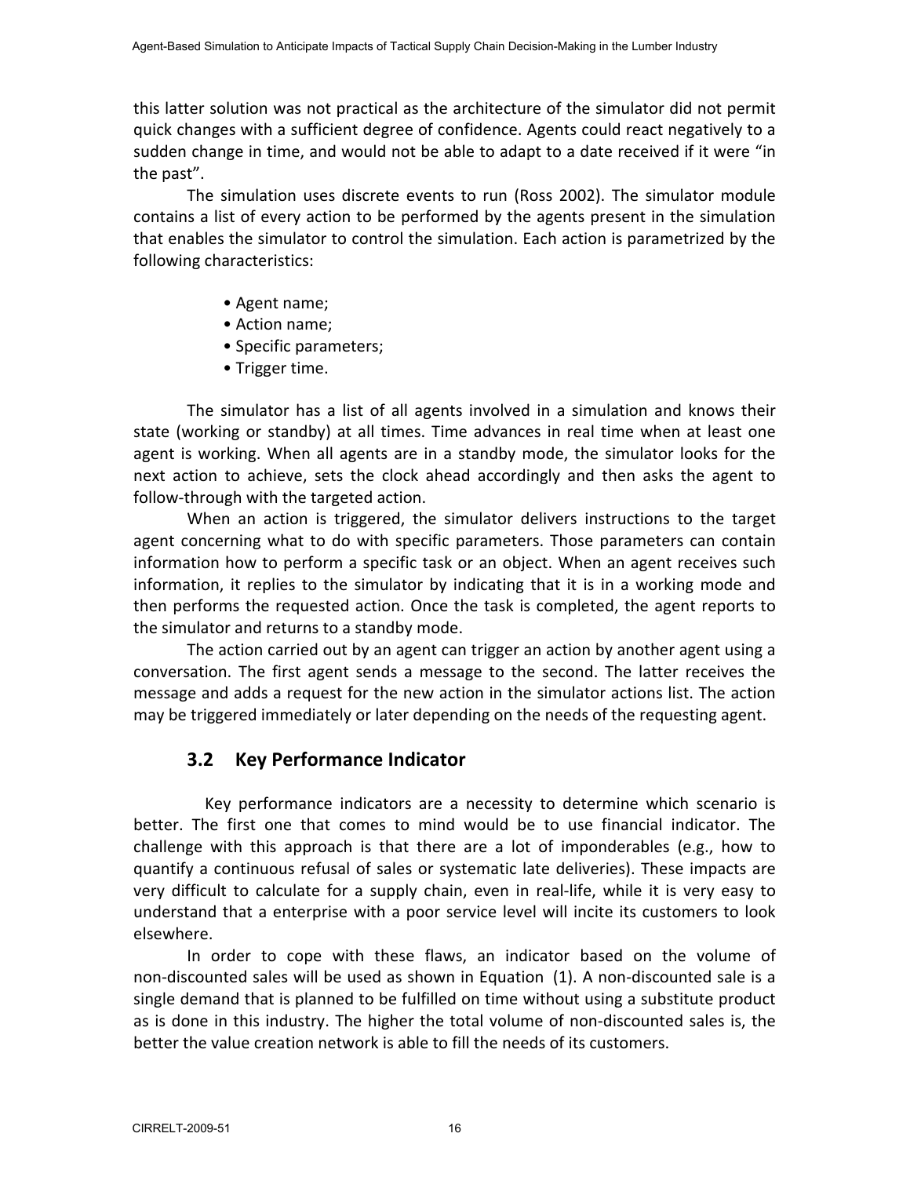this latter solution was not practical as the architecture of the simulator did not permit quick changes with a sufficient degree of confidence. Agents could react negatively to a sudden change in time, and would not be able to adapt to a date received if it were "in the past".

The simulation uses discrete events to run (Ross 2002). The simulator module contains a list of every action to be performed by the agents present in the simulation that enables the simulator to control the simulation. Each action is parametrized by the following characteristics:

- Agent name;
- Action name;
- Specific parameters;
- Trigger time.

The simulator has a list of all agents involved in a simulation and knows their state (working or standby) at all times. Time advances in real time when at least one agent is working. When all agents are in a standby mode, the simulator looks for the next action to achieve, sets the clock ahead accordingly and then asks the agent to follow‐through with the targeted action.

When an action is triggered, the simulator delivers instructions to the target agent concerning what to do with specific parameters. Those parameters can contain information how to perform a specific task or an object. When an agent receives such information, it replies to the simulator by indicating that it is in a working mode and then performs the requested action. Once the task is completed, the agent reports to the simulator and returns to a standby mode.

The action carried out by an agent can trigger an action by another agent using a conversation. The first agent sends a message to the second. The latter receives the message and adds a request for the new action in the simulator actions list. The action may be triggered immediately or later depending on the needs of the requesting agent.

## **3.2 Key Performance Indicator**

 Key performance indicators are a necessity to determine which scenario is better. The first one that comes to mind would be to use financial indicator. The challenge with this approach is that there are a lot of imponderables (e.g., how to quantify a continuous refusal of sales or systematic late deliveries). These impacts are very difficult to calculate for a supply chain, even in real‐life, while it is very easy to understand that a enterprise with a poor service level will incite its customers to look elsewhere.

In order to cope with these flaws, an indicator based on the volume of non-discounted sales will be used as shown in Equation (1). A non-discounted sale is a single demand that is planned to be fulfilled on time without using a substitute product as is done in this industry. The higher the total volume of non‐discounted sales is, the better the value creation network is able to fill the needs of its customers.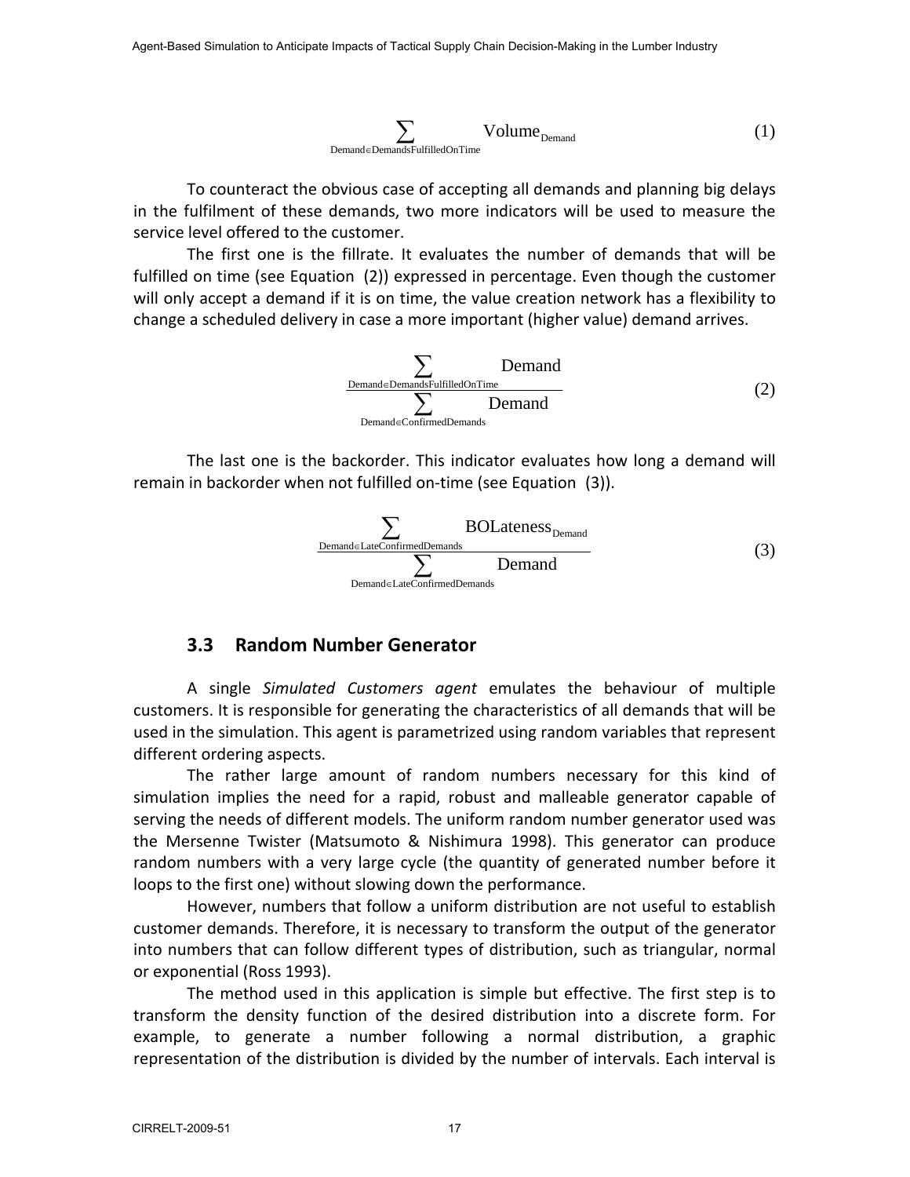$$
\sum_{\text{Demand} \in \text{Demands}\text{-FulfilledOnTime}} Volume_{\text{Demand}} \tag{1}
$$

To counteract the obvious case of accepting all demands and planning big delays in the fulfilment of these demands, two more indicators will be used to measure the service level offered to the customer.

The first one is the fillrate. It evaluates the number of demands that will be fulfilled on time (see Equation (2)) expressed in percentage. Even though the customer will only accept a demand if it is on time, the value creation network has a flexibility to change a scheduled delivery in case a more important (higher value) demand arrives.



The last one is the backorder. This indicator evaluates how long a demand will remain in backorder when not fulfilled on‐time (see Equation (3)).

$$
\frac{\sum_{Demand \in LateConfirmedDemands} BOLateness_{Demand}}{\sum_{Demand \in LateConfirmedDemands} Demand}
$$
 (3)

### **3.3 Random Number Generator**

A single *Simulated Customers agent* emulates the behaviour of multiple customers. It is responsible for generating the characteristics of all demands that will be used in the simulation. This agent is parametrized using random variables that represent different ordering aspects.

The rather large amount of random numbers necessary for this kind of simulation implies the need for a rapid, robust and malleable generator capable of serving the needs of different models. The uniform random number generator used was the Mersenne Twister (Matsumoto & Nishimura 1998). This generator can produce random numbers with a very large cycle (the quantity of generated number before it loops to the first one) without slowing down the performance.

However, numbers that follow a uniform distribution are not useful to establish customer demands. Therefore, it is necessary to transform the output of the generator into numbers that can follow different types of distribution, such as triangular, normal or exponential (Ross 1993).

The method used in this application is simple but effective. The first step is to transform the density function of the desired distribution into a discrete form. For example, to generate a number following a normal distribution, a graphic representation of the distribution is divided by the number of intervals. Each interval is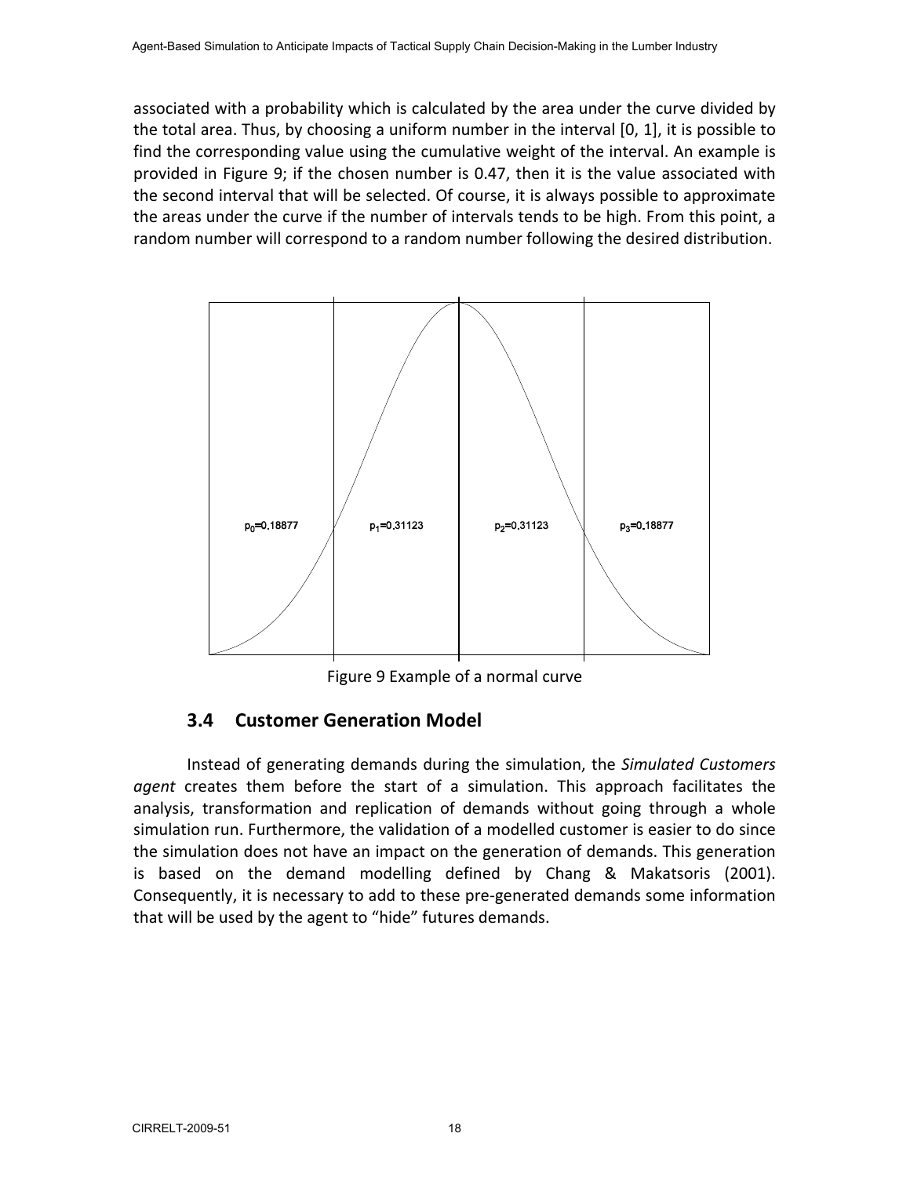associated with a probability which is calculated by the area under the curve divided by the total area. Thus, by choosing a uniform number in the interval [0, 1], it is possible to find the corresponding value using the cumulative weight of the interval. An example is provided in Figure 9; if the chosen number is 0.47, then it is the value associated with the second interval that will be selected. Of course, it is always possible to approximate the areas under the curve if the number of intervals tends to be high. From this point, a random number will correspond to a random number following the desired distribution.



Figure <sup>9</sup> Example of <sup>a</sup> normal curve

### **3.4 Customer Generation Model**

Instead of generating demands during the simulation, the *Simulated Customers agent* creates them before the start of a simulation. This approach facilitates the analysis, transformation and replication of demands without going through a whole simulation run. Furthermore, the validation of a modelled customer is easier to do since the simulation does not have an impact on the generation of demands. This generation is based on the demand modelling defined by Chang & Makatsoris (2001). Consequently, it is necessary to add to these pre‐generated demands some information that will be used by the agent to "hide" futures demands.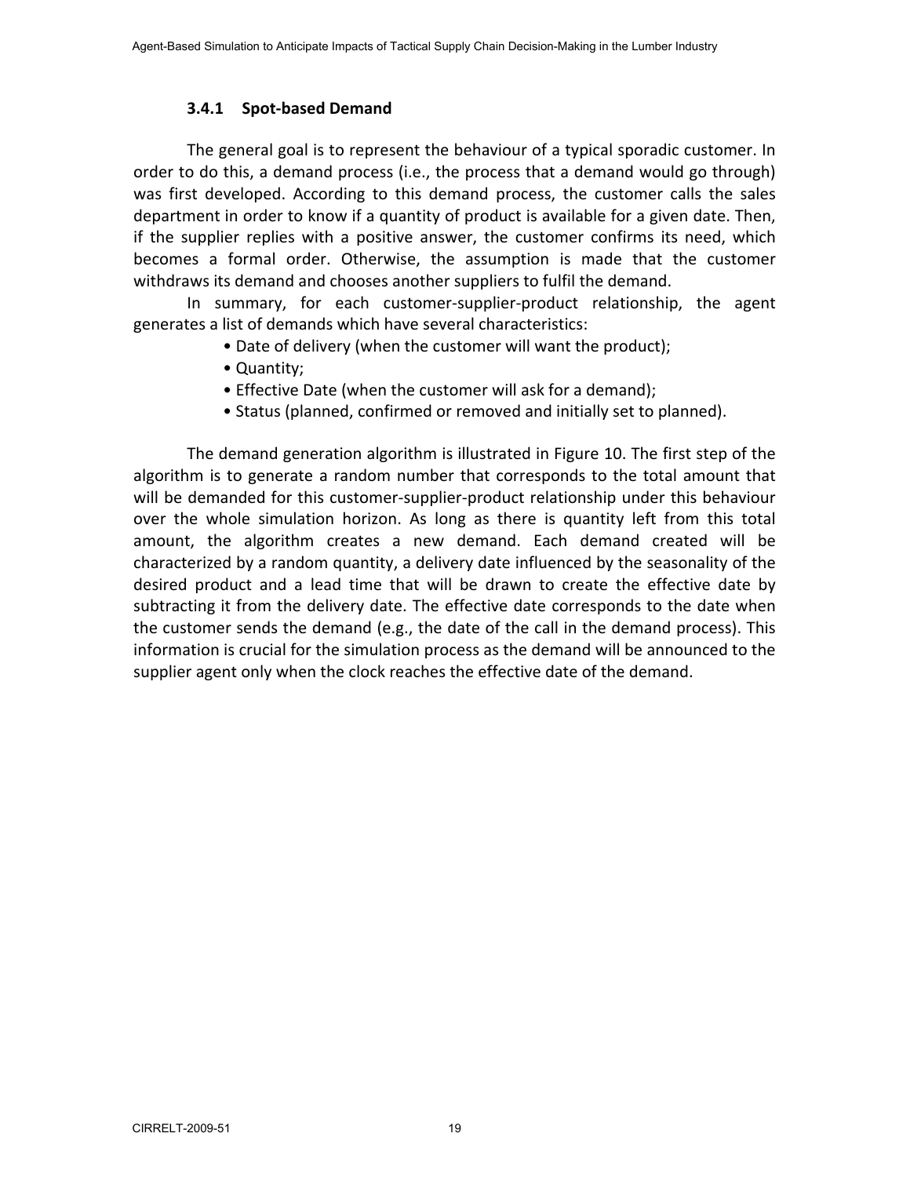#### **3.4.1 Spot‐based Demand**

The general goal is to represent the behaviour of a typical sporadic customer. In order to do this, a demand process (i.e., the process that a demand would go through) was first developed. According to this demand process, the customer calls the sales department in order to know if a quantity of product is available for a given date. Then, if the supplier replies with a positive answer, the customer confirms its need, which becomes a formal order. Otherwise, the assumption is made that the customer withdraws its demand and chooses another suppliers to fulfil the demand.

In summary, for each customer‐supplier‐product relationship, the agent generates a list of demands which have several characteristics:

- Date of delivery (when the customer will want the product);
- Quantity;
- Effective Date (when the customer will ask for a demand);
- Status (planned, confirmed or removed and initially set to planned).

The demand generation algorithm is illustrated in Figure 10. The first step of the algorithm is to generate a random number that corresponds to the total amount that will be demanded for this customer‐supplier‐product relationship under this behaviour over the whole simulation horizon. As long as there is quantity left from this total amount, the algorithm creates a new demand. Each demand created will be characterized by a random quantity, a delivery date influenced by the seasonality of the desired product and a lead time that will be drawn to create the effective date by subtracting it from the delivery date. The effective date corresponds to the date when the customer sends the demand (e.g., the date of the call in the demand process). This information is crucial for the simulation process as the demand will be announced to the supplier agent only when the clock reaches the effective date of the demand.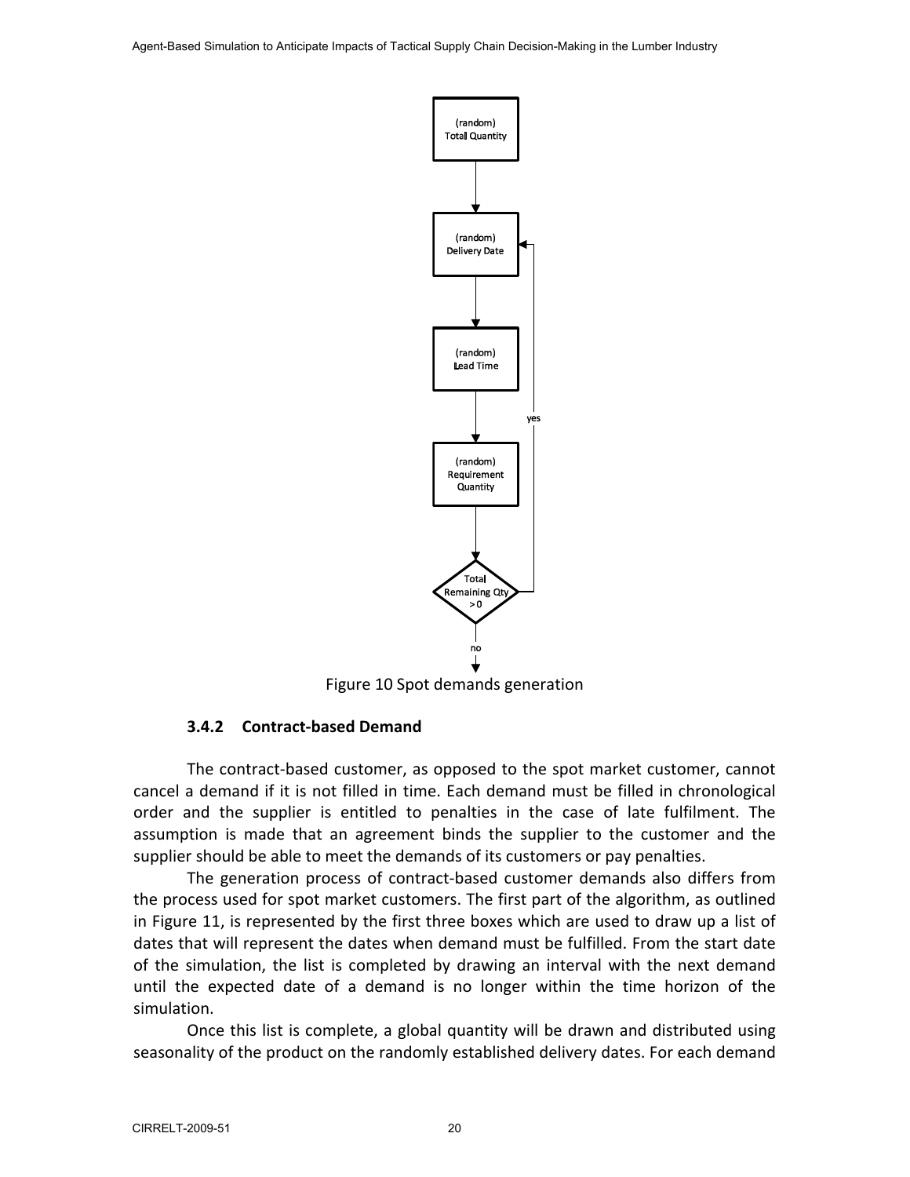Agent-Based Simulation to Anticipate Impacts of Tactical Supply Chain Decision-Making in the Lumber Industry



## **3.4.2 Contract‐based Demand**

The contract‐based customer, as opposed to the spot market customer, cannot cancel a demand if it is not filled in time. Each demand must be filled in chronological order and the supplier is entitled to penalties in the case of late fulfilment. The assumption is made that an agreement binds the supplier to the customer and the supplier should be able to meet the demands of its customers or pay penalties.

The generation process of contract‐based customer demands also differs from the process used for spot market customers. The first part of the algorithm, as outlined in Figure 11, is represented by the first three boxes which are used to draw up a list of dates that will represent the dates when demand must be fulfilled. From the start date of the simulation, the list is completed by drawing an interval with the next demand until the expected date of a demand is no longer within the time horizon of the simulation.

Once this list is complete, a global quantity will be drawn and distributed using seasonality of the product on the randomly established delivery dates. For each demand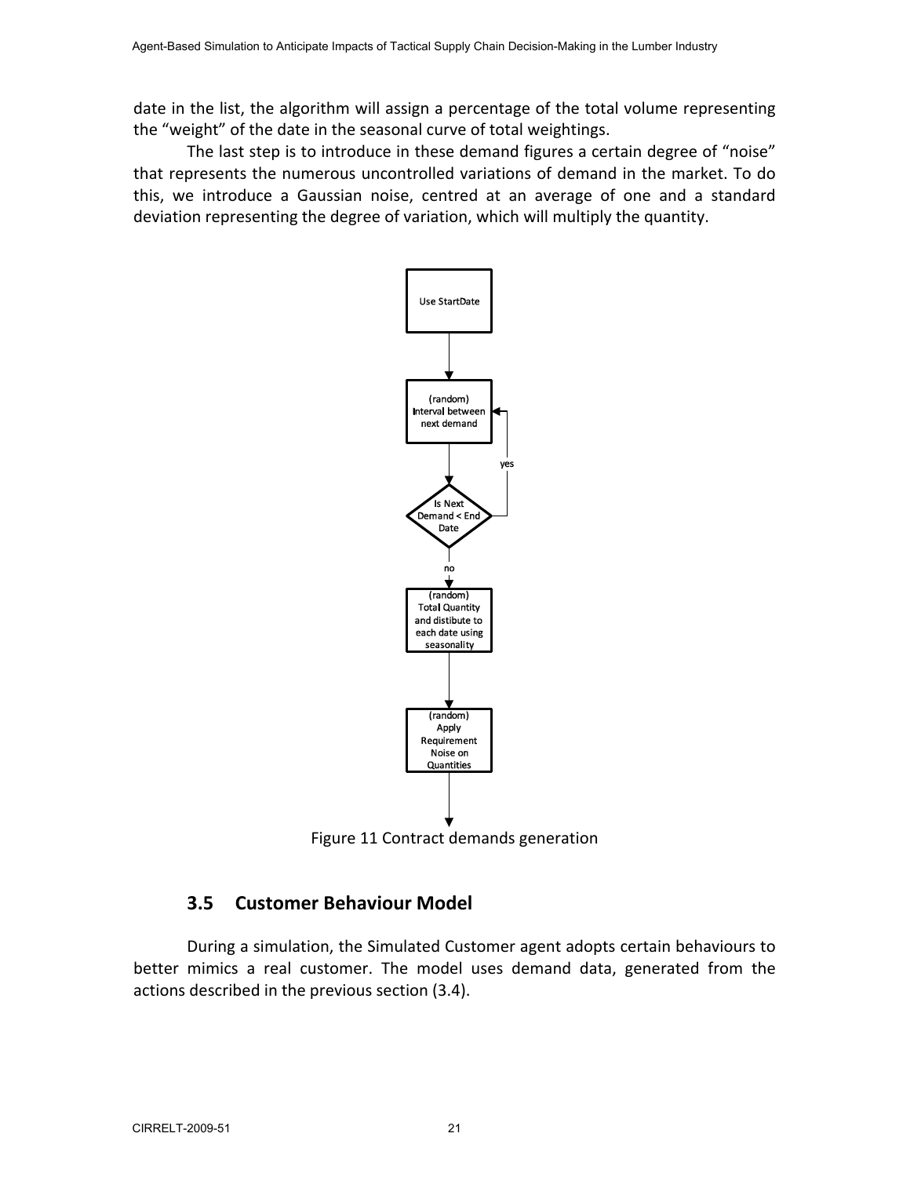date in the list, the algorithm will assign a percentage of the total volume representing the "weight" of the date in the seasonal curve of total weightings.

The last step is to introduce in these demand figures a certain degree of "noise" that represents the numerous uncontrolled variations of demand in the market. To do this, we introduce a Gaussian noise, centred at an average of one and a standard deviation representing the degree of variation, which will multiply the quantity.



Figure <sup>11</sup> Contract demands generation

#### **3.5 Customer Behaviour Model**

During a simulation, the Simulated Customer agent adopts certain behaviours to better mimics a real customer. The model uses demand data, generated from the actions described in the previous section (3.4).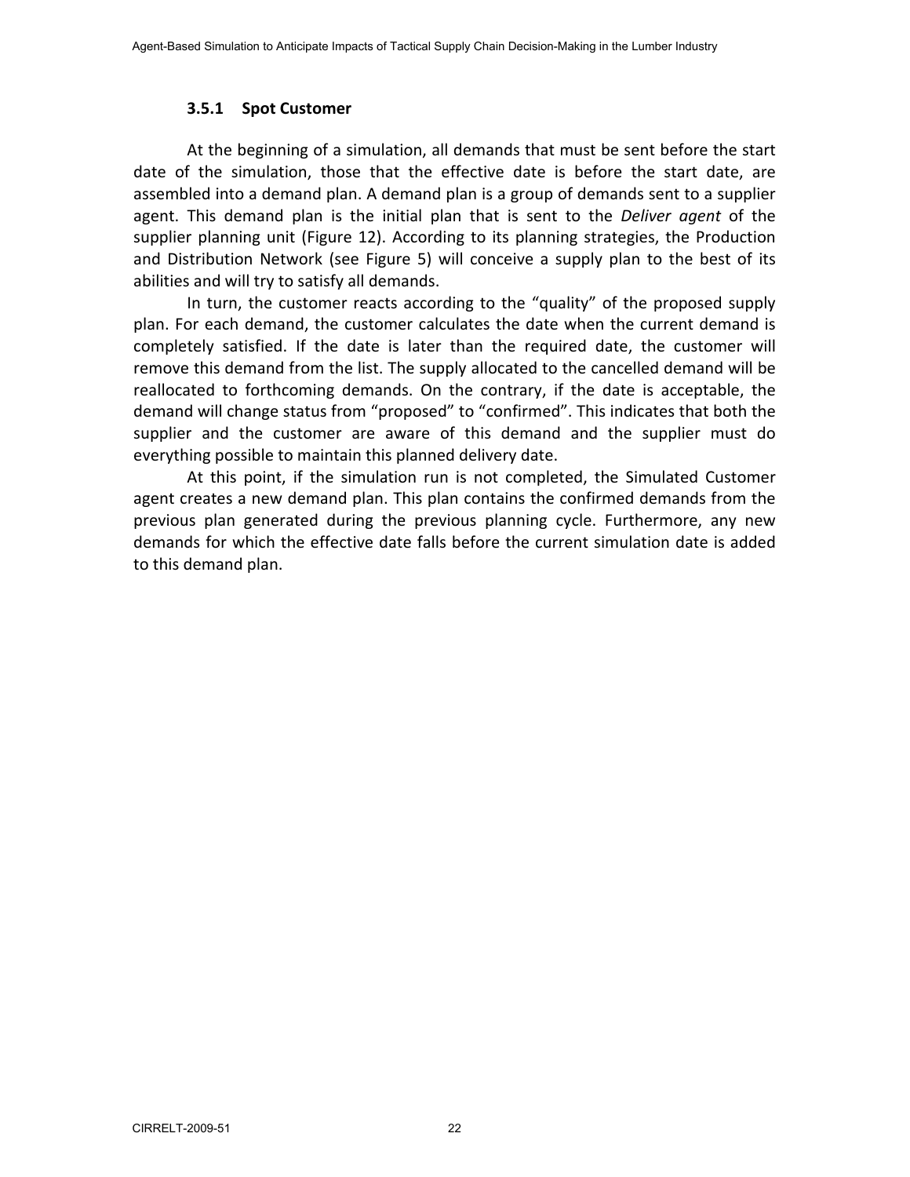#### **3.5.1 Spot Customer**

At the beginning of a simulation, all demands that must be sent before the start date of the simulation, those that the effective date is before the start date, are assembled into a demand plan. A demand plan is a group of demands sent to a supplier agent. This demand plan is the initial plan that is sent to the *Deliver agent* of the supplier planning unit (Figure 12). According to its planning strategies, the Production and Distribution Network (see Figure 5) will conceive a supply plan to the best of its abilities and will try to satisfy all demands.

In turn, the customer reacts according to the "quality" of the proposed supply plan. For each demand, the customer calculates the date when the current demand is completely satisfied. If the date is later than the required date, the customer will remove this demand from the list. The supply allocated to the cancelled demand will be reallocated to forthcoming demands. On the contrary, if the date is acceptable, the demand will change status from "proposed" to "confirmed". This indicates that both the supplier and the customer are aware of this demand and the supplier must do everything possible to maintain this planned delivery date.

At this point, if the simulation run is not completed, the Simulated Customer agent creates a new demand plan. This plan contains the confirmed demands from the previous plan generated during the previous planning cycle. Furthermore, any new demands for which the effective date falls before the current simulation date is added to this demand plan.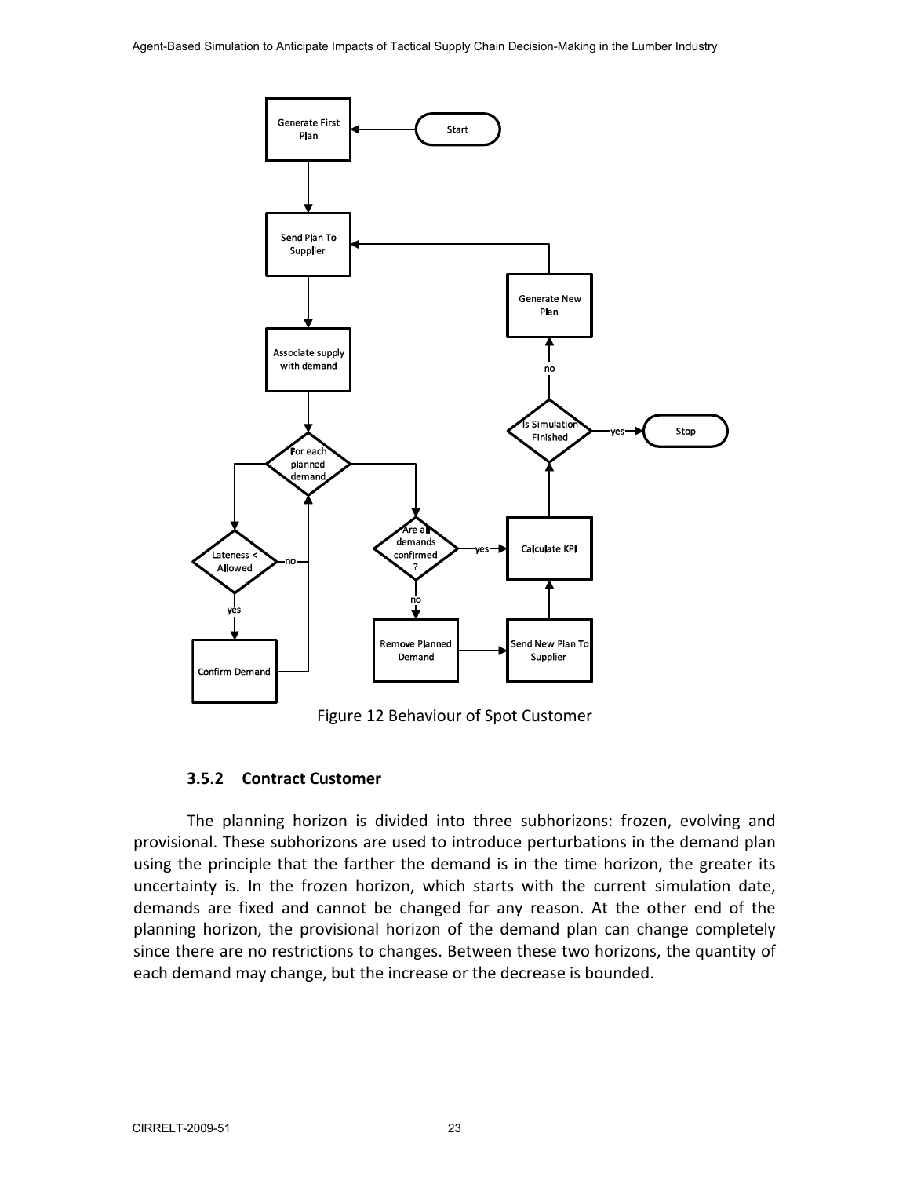

Figure <sup>12</sup> Behaviour of Spot Customer

#### **3.5.2 Contract Customer**

The planning horizon is divided into three subhorizons: frozen, evolving and provisional. These subhorizons are used to introduce perturbations in the demand plan using the principle that the farther the demand is in the time horizon, the greater its uncertainty is. In the frozen horizon, which starts with the current simulation date, demands are fixed and cannot be changed for any reason. At the other end of the planning horizon, the provisional horizon of the demand plan can change completely since there are no restrictions to changes. Between these two horizons, the quantity of each demand may change, but the increase or the decrease is bounded.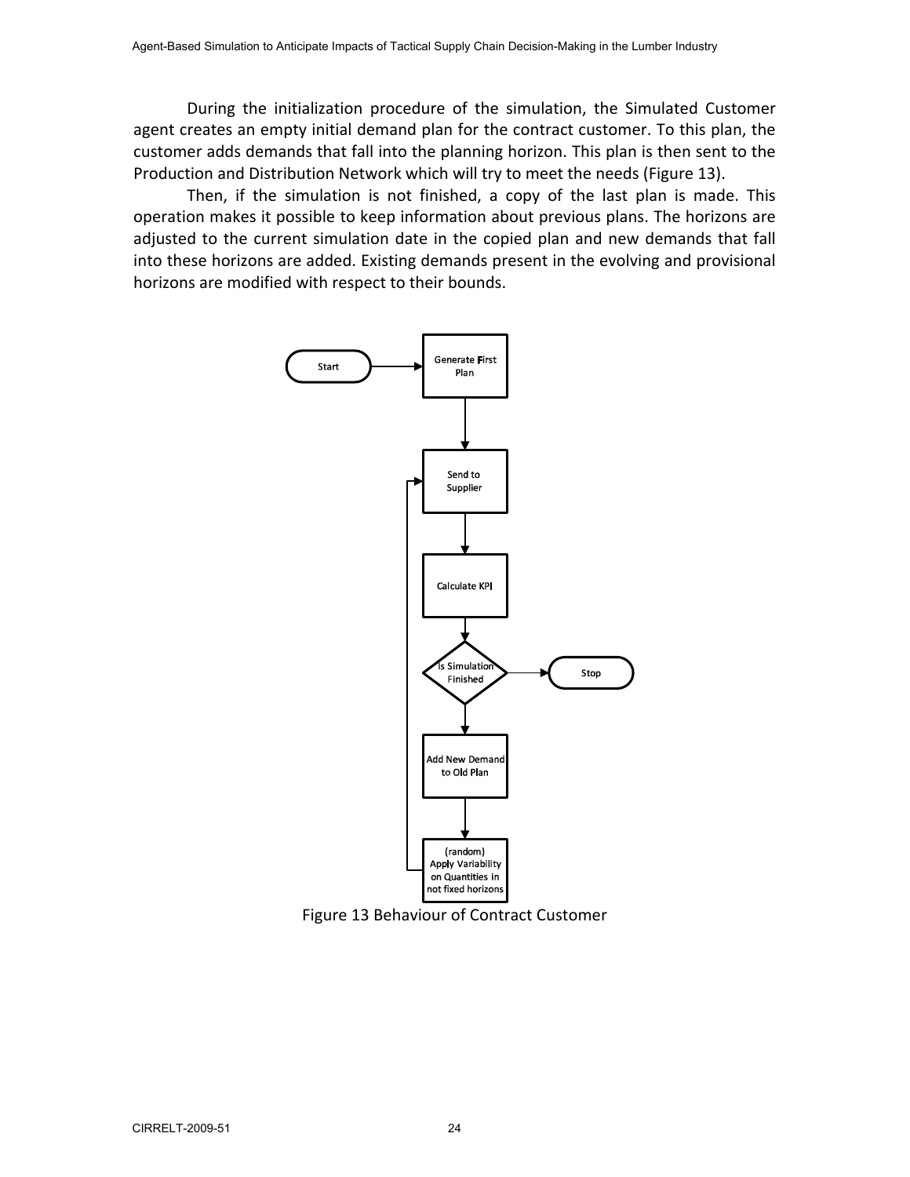During the initialization procedure of the simulation, the Simulated Customer agent creates an empty initial demand plan for the contract customer. To this plan, the customer adds demands that fall into the planning horizon. This plan is then sent to the Production and Distribution Network which will try to meet the needs (Figure 13).

Then, if the simulation is not finished, a copy of the last plan is made. This operation makes it possible to keep information about previous plans. The horizons are adjusted to the current simulation date in the copied plan and new demands that fall into these horizons are added. Existing demands present in the evolving and provisional horizons are modified with respect to their bounds.

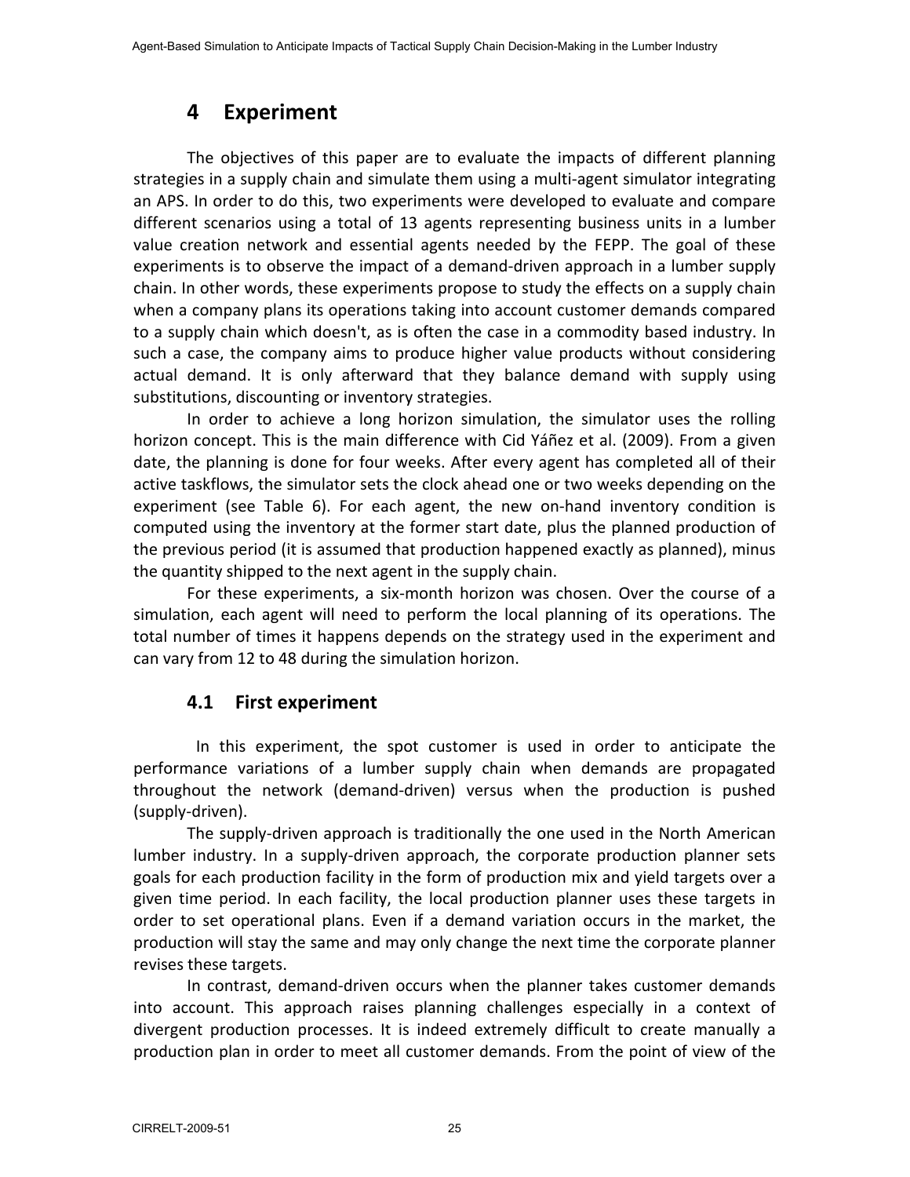# **4 Experiment**

The objectives of this paper are to evaluate the impacts of different planning strategies in a supply chain and simulate them using a multi‐agent simulator integrating an APS. In order to do this, two experiments were developed to evaluate and compare different scenarios using a total of 13 agents representing business units in a lumber value creation network and essential agents needed by the FEPP. The goal of these experiments is to observe the impact of a demand‐driven approach in a lumber supply chain. In other words, these experiments propose to study the effects on a supply chain when a company plans its operations taking into account customer demands compared to a supply chain which doesn't, as is often the case in a commodity based industry. In such a case, the company aims to produce higher value products without considering actual demand. It is only afterward that they balance demand with supply using substitutions, discounting or inventory strategies.

In order to achieve a long horizon simulation, the simulator uses the rolling horizon concept. This is the main difference with Cid Yáñez et al. (2009). From a given date, the planning is done for four weeks. After every agent has completed all of their active taskflows, the simulator sets the clock ahead one or two weeks depending on the experiment (see Table 6). For each agent, the new on-hand inventory condition is computed using the inventory at the former start date, plus the planned production of the previous period (it is assumed that production happened exactly as planned), minus the quantity shipped to the next agent in the supply chain.

For these experiments, a six-month horizon was chosen. Over the course of a simulation, each agent will need to perform the local planning of its operations. The total number of times it happens depends on the strategy used in the experiment and can vary from 12 to 48 during the simulation horizon.

### **4.1 First experiment**

In this experiment, the spot customer is used in order to anticipate the performance variations of a lumber supply chain when demands are propagated throughout the network (demand‐driven) versus when the production is pushed (supply‐driven).

The supply‐driven approach is traditionally the one used in the North American lumber industry. In a supply‐driven approach, the corporate production planner sets goals for each production facility in the form of production mix and yield targets over a given time period. In each facility, the local production planner uses these targets in order to set operational plans. Even if a demand variation occurs in the market, the production will stay the same and may only change the next time the corporate planner revises these targets.

In contrast, demand‐driven occurs when the planner takes customer demands into account. This approach raises planning challenges especially in a context of divergent production processes. It is indeed extremely difficult to create manually a production plan in order to meet all customer demands. From the point of view of the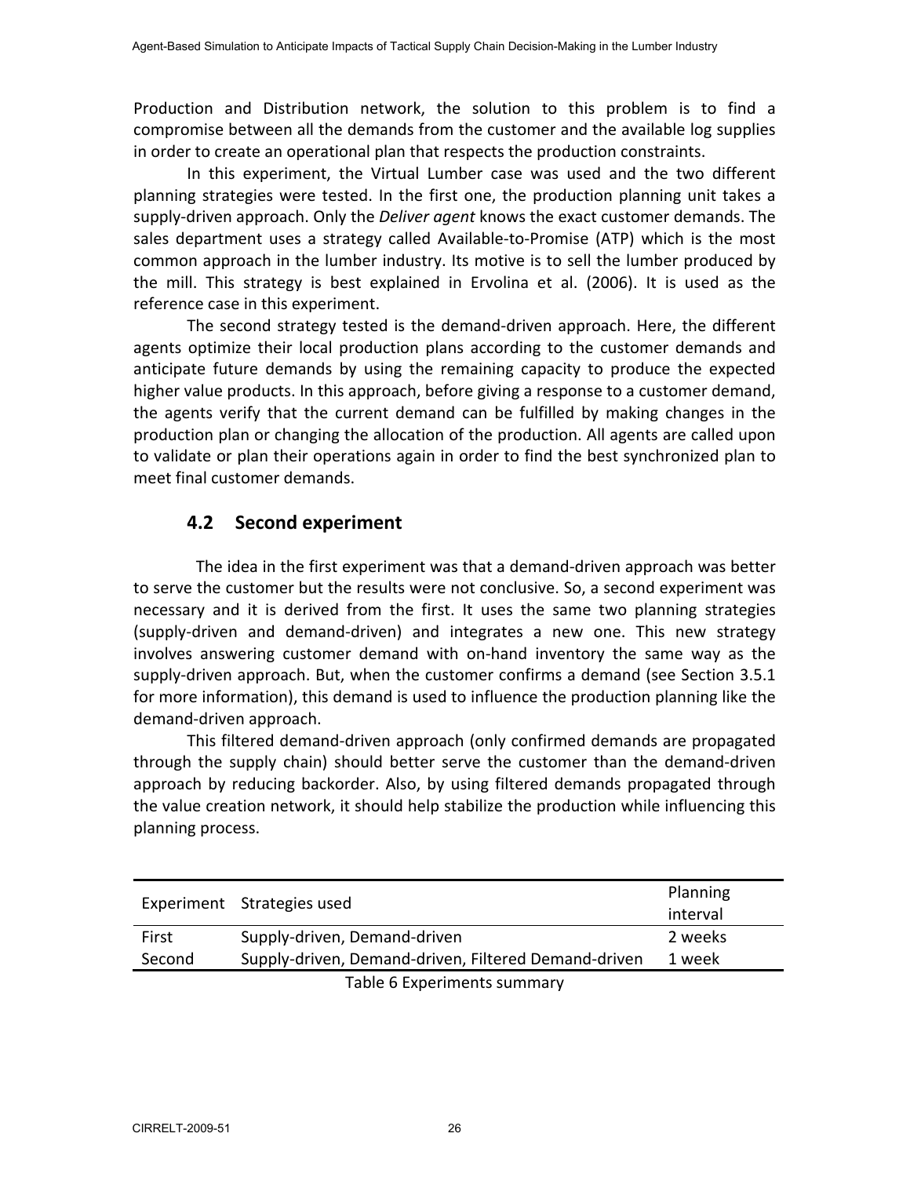Production and Distribution network, the solution to this problem is to find a compromise between all the demands from the customer and the available log supplies in order to create an operational plan that respects the production constraints.

In this experiment, the Virtual Lumber case was used and the two different planning strategies were tested. In the first one, the production planning unit takes a supply‐driven approach. Only the *Deliver agent* knows the exact customer demands. The sales department uses a strategy called Available‐to‐Promise (ATP) which is the most common approach in the lumber industry. Its motive is to sell the lumber produced by the mill. This strategy is best explained in Ervolina et al. (2006). It is used as the reference case in this experiment.

The second strategy tested is the demand‐driven approach. Here, the different agents optimize their local production plans according to the customer demands and anticipate future demands by using the remaining capacity to produce the expected higher value products. In this approach, before giving a response to a customer demand, the agents verify that the current demand can be fulfilled by making changes in the production plan or changing the allocation of the production. All agents are called upon to validate or plan their operations again in order to find the best synchronized plan to meet final customer demands.

### **4.2 Second experiment**

The idea in the first experiment was that a demand‐driven approach was better to serve the customer but the results were not conclusive. So, a second experiment was necessary and it is derived from the first. It uses the same two planning strategies (supply‐driven and demand‐driven) and integrates a new one. This new strategy involves answering customer demand with on‐hand inventory the same way as the supply-driven approach. But, when the customer confirms a demand (see Section 3.5.1) for more information), this demand is used to influence the production planning like the demand‐driven approach.

This filtered demand‐driven approach (only confirmed demands are propagated through the supply chain) should better serve the customer than the demand‐driven approach by reducing backorder. Also, by using filtered demands propagated through the value creation network, it should help stabilize the production while influencing this planning process.

|        | Experiment Strategies used                           | Planning<br>interval |
|--------|------------------------------------------------------|----------------------|
| First  | Supply-driven, Demand-driven                         | 2 weeks              |
| Second | Supply-driven, Demand-driven, Filtered Demand-driven | 1 week               |
|        | Table 6 Experiments summary                          |                      |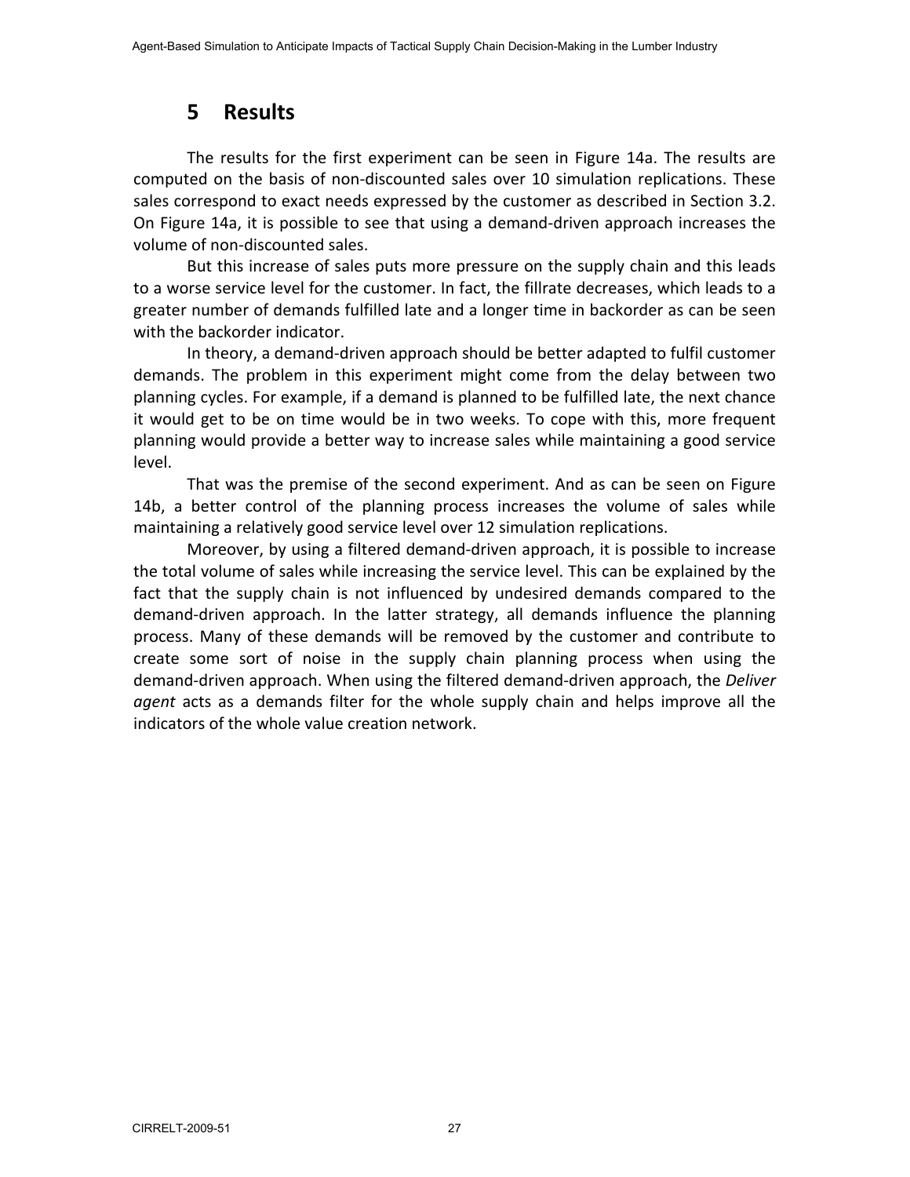# **5 Results**

The results for the first experiment can be seen in Figure 14a. The results are computed on the basis of non‐discounted sales over 10 simulation replications. These sales correspond to exact needs expressed by the customer as described in Section 3.2. On Figure 14a, it is possible to see that using a demand‐driven approach increases the volume of non‐discounted sales.

But this increase of sales puts more pressure on the supply chain and this leads to a worse service level for the customer. In fact, the fillrate decreases, which leads to a greater number of demands fulfilled late and a longer time in backorder as can be seen with the backorder indicator.

In theory, a demand‐driven approach should be better adapted to fulfil customer demands. The problem in this experiment might come from the delay between two planning cycles. For example, if a demand is planned to be fulfilled late, the next chance it would get to be on time would be in two weeks. To cope with this, more frequent planning would provide a better way to increase sales while maintaining a good service level.

That was the premise of the second experiment. And as can be seen on Figure 14b, a better control of the planning process increases the volume of sales while maintaining a relatively good service level over 12 simulation replications.

Moreover, by using a filtered demand‐driven approach, it is possible to increase the total volume of sales while increasing the service level. This can be explained by the fact that the supply chain is not influenced by undesired demands compared to the demand‐driven approach. In the latter strategy, all demands influence the planning process. Many of these demands will be removed by the customer and contribute to create some sort of noise in the supply chain planning process when using the demand‐driven approach. When using the filtered demand‐driven approach, the *Deliver agent* acts as a demands filter for the whole supply chain and helps improve all the indicators of the whole value creation network.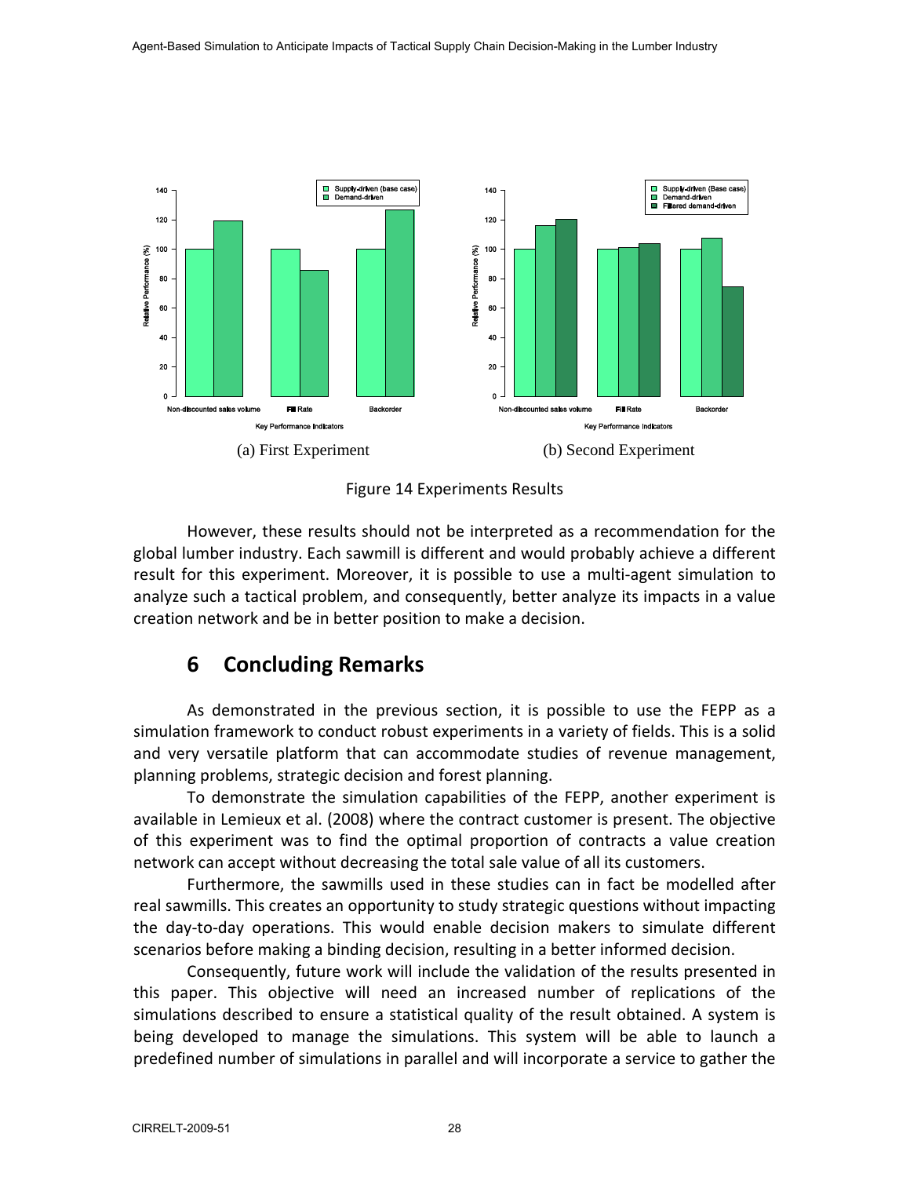

Figure 14 Experiments Results

However, these results should not be interpreted as a recommendation for the global lumber industry. Each sawmill is different and would probably achieve a different result for this experiment. Moreover, it is possible to use a multi-agent simulation to analyze such a tactical problem, and consequently, better analyze its impacts in a value creation network and be in better position to make a decision.

# **6 Concluding Remarks**

As demonstrated in the previous section, it is possible to use the FEPP as a simulation framework to conduct robust experiments in a variety of fields. This is a solid and very versatile platform that can accommodate studies of revenue management, planning problems, strategic decision and forest planning.

To demonstrate the simulation capabilities of the FEPP, another experiment is available in Lemieux et al. (2008) where the contract customer is present. The objective of this experiment was to find the optimal proportion of contracts a value creation network can accept without decreasing the total sale value of all its customers.

Furthermore, the sawmills used in these studies can in fact be modelled after real sawmills. This creates an opportunity to study strategic questions without impacting the day‐to‐day operations. This would enable decision makers to simulate different scenarios before making a binding decision, resulting in a better informed decision.

Consequently, future work will include the validation of the results presented in this paper. This objective will need an increased number of replications of the simulations described to ensure a statistical quality of the result obtained. A system is being developed to manage the simulations. This system will be able to launch a predefined number of simulations in parallel and will incorporate a service to gather the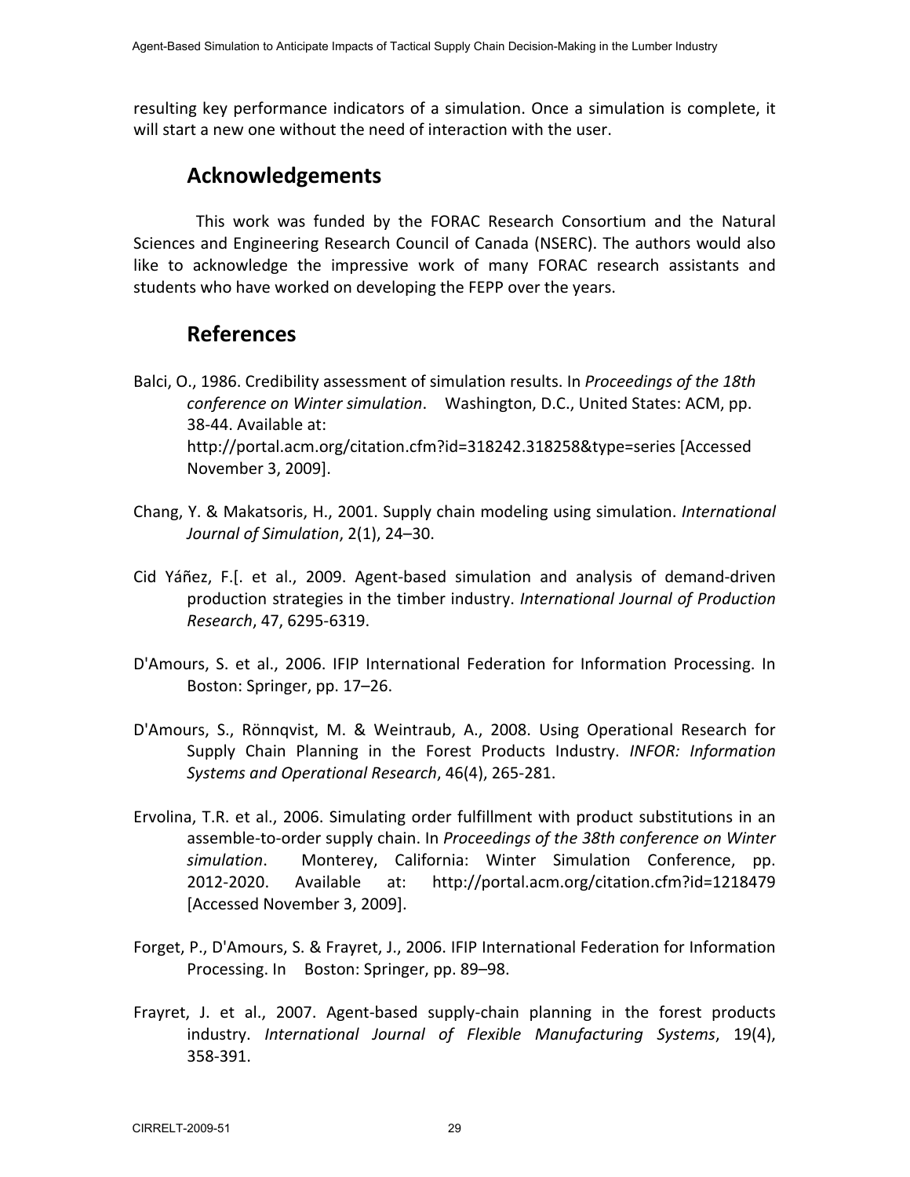resulting key performance indicators of a simulation. Once a simulation is complete, it will start a new one without the need of interaction with the user.

## **Acknowledgements**

This work was funded by the FORAC Research Consortium and the Natural Sciences and Engineering Research Council of Canada (NSERC). The authors would also like to acknowledge the impressive work of many FORAC research assistants and students who have worked on developing the FEPP over the years.

## **References**

Balci, O., 1986. Credibility assessment of simulation results. In *Proceedings of the 18th conference on Winter simulation*. Washington, D.C., United States: ACM, pp. 38‐44. Available at: http://portal.acm.org/citation.cfm?id=318242.318258&type=series [Accessed November 3, 2009].

- Chang, Y. & Makatsoris, H., 2001. Supply chain modeling using simulation. *International Journal of Simulation*, 2(1), 24–30.
- Cid Yáñez, F.[. et al., 2009. Agent‐based simulation and analysis of demand‐driven production strategies in the timber industry. *International Journal of Production Research*, 47, 6295‐6319.
- D'Amours, S. et al., 2006. IFIP International Federation for Information Processing. In Boston: Springer, pp. 17–26.
- D'Amours, S., Rönnqvist, M. & Weintraub, A., 2008. Using Operational Research for Supply Chain Planning in the Forest Products Industry. *INFOR: Information Systems and Operational Research*, 46(4), 265‐281.
- Ervolina, T.R. et al., 2006. Simulating order fulfillment with product substitutions in an assemble‐to‐order supply chain. In *Proceedings of the 38th conference on Winter simulation*. Monterey, California: Winter Simulation Conference, pp. 2012‐2020. Available at: http://portal.acm.org/citation.cfm?id=1218479 [Accessed November 3, 2009].
- Forget, P., D'Amours, S. & Frayret, J., 2006. IFIP International Federation for Information Processing. In Boston: Springer, pp. 89–98.
- Frayret, J. et al., 2007. Agent-based supply-chain planning in the forest products industry. *International Journal of Flexible Manufacturing Systems*, 19(4), 358‐391.